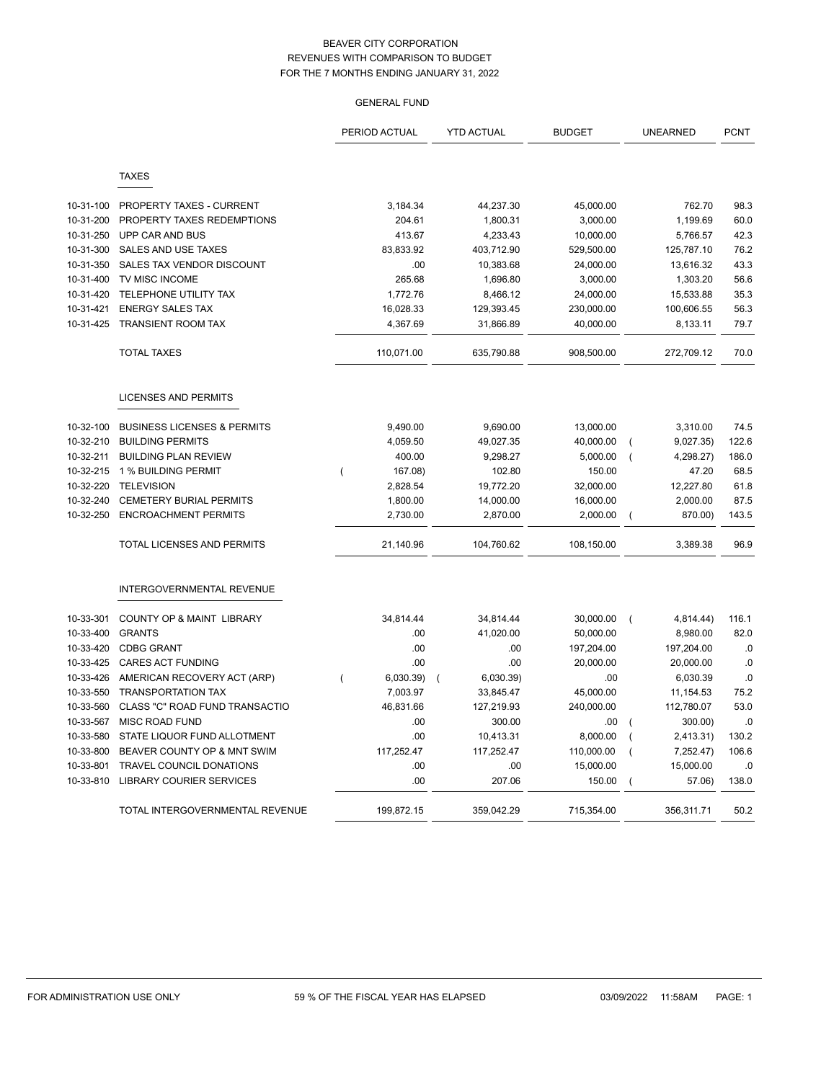|           |                                        | PERIOD ACTUAL             | <b>YTD ACTUAL</b>           | <b>BUDGET</b> | <b>UNEARNED</b>                     | <b>PCNT</b> |
|-----------|----------------------------------------|---------------------------|-----------------------------|---------------|-------------------------------------|-------------|
|           | <b>TAXES</b>                           |                           |                             |               |                                     |             |
|           |                                        |                           |                             |               |                                     |             |
| 10-31-100 | PROPERTY TAXES - CURRENT               | 3,184.34                  | 44,237.30                   | 45,000.00     | 762.70                              | 98.3        |
| 10-31-200 | PROPERTY TAXES REDEMPTIONS             | 204.61                    | 1,800.31                    | 3,000.00      | 1,199.69                            | 60.0        |
| 10-31-250 | UPP CAR AND BUS                        | 413.67                    | 4,233.43                    | 10,000.00     | 5,766.57                            | 42.3        |
| 10-31-300 | SALES AND USE TAXES                    | 83,833.92                 | 403,712.90                  | 529,500.00    | 125,787.10                          | 76.2        |
| 10-31-350 | SALES TAX VENDOR DISCOUNT              | .00                       | 10,383.68                   | 24,000.00     | 13,616.32                           | 43.3        |
| 10-31-400 | TV MISC INCOME                         | 265.68                    | 1,696.80                    | 3,000.00      | 1,303.20                            | 56.6        |
| 10-31-420 | TELEPHONE UTILITY TAX                  | 1,772.76                  | 8,466.12                    | 24,000.00     | 15,533.88                           | 35.3        |
| 10-31-421 | <b>ENERGY SALES TAX</b>                | 16,028.33                 | 129,393.45                  | 230,000.00    | 100,606.55                          | 56.3        |
| 10-31-425 | <b>TRANSIENT ROOM TAX</b>              | 4,367.69                  | 31,866.89                   | 40,000.00     | 8,133.11                            | 79.7        |
|           | <b>TOTAL TAXES</b>                     | 110,071.00                | 635,790.88                  | 908,500.00    | 272,709.12                          | 70.0        |
|           | LICENSES AND PERMITS                   |                           |                             |               |                                     |             |
| 10-32-100 | <b>BUSINESS LICENSES &amp; PERMITS</b> | 9,490.00                  | 9,690.00                    | 13,000.00     | 3,310.00                            | 74.5        |
| 10-32-210 | <b>BUILDING PERMITS</b>                | 4,059.50                  | 49,027.35                   | 40,000.00     | 9,027.35)<br>$\overline{ }$         | 122.6       |
| 10-32-211 | <b>BUILDING PLAN REVIEW</b>            | 400.00                    | 9,298.27                    | 5,000.00      | 4,298.27)<br>$\overline{ }$         | 186.0       |
| 10-32-215 | 1 % BUILDING PERMIT                    | 167.08)<br>$\overline{ }$ | 102.80                      | 150.00        | 47.20                               | 68.5        |
| 10-32-220 | <b>TELEVISION</b>                      | 2,828.54                  | 19,772.20                   | 32,000.00     | 12,227.80                           | 61.8        |
| 10-32-240 | <b>CEMETERY BURIAL PERMITS</b>         | 1,800.00                  | 14,000.00                   | 16,000.00     | 2,000.00                            | 87.5        |
| 10-32-250 | <b>ENCROACHMENT PERMITS</b>            | 2,730.00                  | 2,870.00                    | 2,000.00      | 870.00)<br>$\overline{ }$           | 143.5       |
|           | <b>TOTAL LICENSES AND PERMITS</b>      | 21,140.96                 | 104,760.62                  | 108,150.00    | 3,389.38                            | 96.9        |
|           | INTERGOVERNMENTAL REVENUE              |                           |                             |               |                                     |             |
| 10-33-301 | COUNTY OP & MAINT LIBRARY              | 34,814.44                 | 34,814.44                   | 30,000.00     | 4,814.44)<br>$\overline{ }$         | 116.1       |
| 10-33-400 | <b>GRANTS</b>                          | .00                       | 41,020.00                   | 50,000.00     | 8,980.00                            | 82.0        |
| 10-33-420 | <b>CDBG GRANT</b>                      | .00                       | .00                         | 197,204.00    | 197,204.00                          | .0          |
| 10-33-425 | <b>CARES ACT FUNDING</b>               | .00                       | .00                         | 20,000.00     | 20,000.00                           | .0          |
| 10-33-426 | AMERICAN RECOVERY ACT (ARP)            | 6,030.39)                 | 6,030.39)<br>$\overline{ }$ | .00           | 6,030.39                            | .0          |
| 10-33-550 | <b>TRANSPORTATION TAX</b>              | 7,003.97                  | 33,845.47                   | 45,000.00     | 11, 154.53                          | 75.2        |
| 10-33-560 | CLASS "C" ROAD FUND TRANSACTIO         | 46,831.66                 | 127,219.93                  | 240,000.00    | 112,780.07                          | 53.0        |
| 10-33-567 | <b>MISC ROAD FUND</b>                  | .00                       | 300.00                      | .00           | 300.00)<br>$\overline{\phantom{a}}$ | .0          |
| 10-33-580 | STATE LIQUOR FUND ALLOTMENT            | .00                       | 10,413.31                   | 8,000.00      | 2,413.31)                           | 130.2       |
| 10-33-800 | BEAVER COUNTY OP & MNT SWIM            | 117,252.47                | 117,252.47                  | 110,000.00    | 7,252.47)<br>$\overline{ }$         | 106.6       |
| 10-33-801 | TRAVEL COUNCIL DONATIONS               | .00                       | .00                         | 15,000.00     | 15,000.00                           | .0          |
| 10-33-810 | <b>LIBRARY COURIER SERVICES</b>        | .00                       | 207.06                      | 150.00        | 57.06)                              | 138.0       |
|           | TOTAL INTERGOVERNMENTAL REVENUE        | 199,872.15                | 359,042.29                  | 715,354.00    | 356,311.71                          | 50.2        |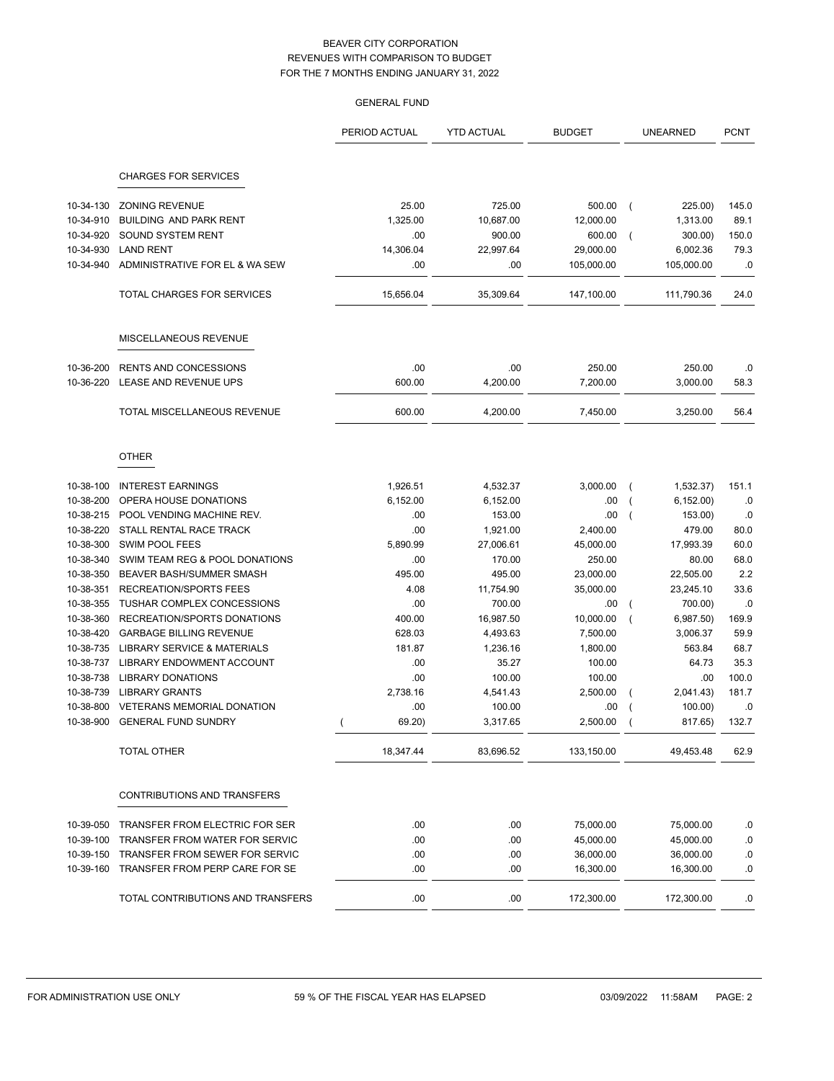|                        |                                                   | <b>GENERAL FUND</b> |                    |                    |                           |                |
|------------------------|---------------------------------------------------|---------------------|--------------------|--------------------|---------------------------|----------------|
|                        |                                                   | PERIOD ACTUAL       | <b>YTD ACTUAL</b>  | <b>BUDGET</b>      | <b>UNEARNED</b>           | <b>PCNT</b>    |
|                        | <b>CHARGES FOR SERVICES</b>                       |                     |                    |                    |                           |                |
| 10-34-130              | <b>ZONING REVENUE</b>                             | 25.00               | 725.00             | 500.00             | 225.00)<br>$\overline{ }$ | 145.0          |
| 10-34-910              | BUILDING AND PARK RENT                            | 1,325.00            | 10,687.00          | 12,000.00          | 1,313.00                  | 89.1           |
| 10-34-920              | SOUND SYSTEM RENT                                 | .00                 | 900.00             | 600.00             | 300.00)<br>$\overline{ }$ | 150.0          |
| 10-34-930              | <b>LAND RENT</b>                                  | 14,306.04           | 22,997.64          | 29,000.00          | 6,002.36                  | 79.3           |
| 10-34-940              | ADMINISTRATIVE FOR EL & WA SEW                    | .00                 | .00                | 105,000.00         | 105,000.00                | .0             |
|                        | TOTAL CHARGES FOR SERVICES                        | 15,656.04           | 35,309.64          | 147,100.00         | 111,790.36                | 24.0           |
|                        | MISCELLANEOUS REVENUE                             |                     |                    |                    |                           |                |
| 10-36-200              | <b>RENTS AND CONCESSIONS</b>                      | .00                 | .00                | 250.00             | 250.00                    | .0             |
| 10-36-220              | LEASE AND REVENUE UPS                             | 600.00              | 4,200.00           | 7,200.00           | 3,000.00                  | 58.3           |
|                        | TOTAL MISCELLANEOUS REVENUE                       | 600.00              | 4,200.00           | 7,450.00           | 3,250.00                  | 56.4           |
|                        | <b>OTHER</b>                                      |                     |                    |                    |                           |                |
| 10-38-100              | <b>INTEREST EARNINGS</b>                          | 1,926.51            | 4,532.37           | 3,000.00           | 1,532.37                  | 151.1          |
| 10-38-200              | OPERA HOUSE DONATIONS                             | 6,152.00            | 6,152.00           | .00                | 6, 152.00                 | .0             |
| 10-38-215              | POOL VENDING MACHINE REV.                         | .00                 | 153.00             | .00                | 153.00)                   | .0             |
| 10-38-220              | STALL RENTAL RACE TRACK                           | .00                 | 1,921.00           | 2,400.00           | 479.00                    | 80.0           |
| 10-38-300              | <b>SWIM POOL FEES</b>                             | 5,890.99            | 27,006.61          | 45,000.00          | 17,993.39                 | 60.0           |
| 10-38-340              | SWIM TEAM REG & POOL DONATIONS                    | .00                 | 170.00             | 250.00             | 80.00                     | 68.0           |
| 10-38-350              | BEAVER BASH/SUMMER SMASH                          | 495.00              | 495.00             | 23,000.00          | 22,505.00                 | 2.2            |
| 10-38-351              | <b>RECREATION/SPORTS FEES</b>                     | 4.08                | 11,754.90          | 35,000.00          | 23,245.10                 | 33.6           |
| 10-38-355              | <b>TUSHAR COMPLEX CONCESSIONS</b>                 | .00                 | 700.00             | .00                | 700.00)                   | .0             |
| 10-38-360              | RECREATION/SPORTS DONATIONS                       | 400.00              | 16,987.50          | 10,000.00          | 6,987.50                  | 169.9          |
| 10-38-420              | <b>GARBAGE BILLING REVENUE</b>                    | 628.03              | 4,493.63           | 7,500.00           | 3,006.37                  | 59.9           |
| 10-38-735              | LIBRARY SERVICE & MATERIALS                       | 181.87              | 1,236.16           | 1,800.00           | 563.84                    | 68.7           |
| 10-38-737              | LIBRARY ENDOWMENT ACCOUNT                         | .00                 | 35.27              | 100.00             | 64.73                     | 35.3           |
| 10-38-738<br>10-38-739 | <b>LIBRARY DONATIONS</b><br><b>LIBRARY GRANTS</b> | .00<br>2,738.16     | 100.00<br>4,541.43 | 100.00<br>2,500.00 | .00<br>2,041.43           | 100.0<br>181.7 |
|                        | 10-38-800 VETERANS MEMORIAL DONATION              | .00                 | 100.00             | .00                | 100.00)                   | .0             |
|                        | 10-38-900 GENERAL FUND SUNDRY                     | 69.20)              | 3,317.65           | $2,500.00$ (       | 817.65)                   | 132.7          |
|                        | <b>TOTAL OTHER</b>                                | 18,347.44           | 83,696.52          | 133,150.00         | 49,453.48                 | 62.9           |
|                        | CONTRIBUTIONS AND TRANSFERS                       |                     |                    |                    |                           |                |
| 10-39-050              | TRANSFER FROM ELECTRIC FOR SER                    | .00                 | .00                | 75,000.00          | 75,000.00                 | .0             |
| 10-39-100              | TRANSFER FROM WATER FOR SERVIC                    | .00                 | .00                | 45,000.00          | 45,000.00                 | .0             |
| 10-39-150              | TRANSFER FROM SEWER FOR SERVIC                    | .00                 | .00                | 36,000.00          | 36,000.00                 | .0             |
| 10-39-160              | TRANSFER FROM PERP CARE FOR SE                    | .00                 | .00                | 16,300.00          | 16,300.00                 | .0             |
|                        | TOTAL CONTRIBUTIONS AND TRANSFERS                 | .00                 | .00                | 172,300.00         | 172,300.00                | .0             |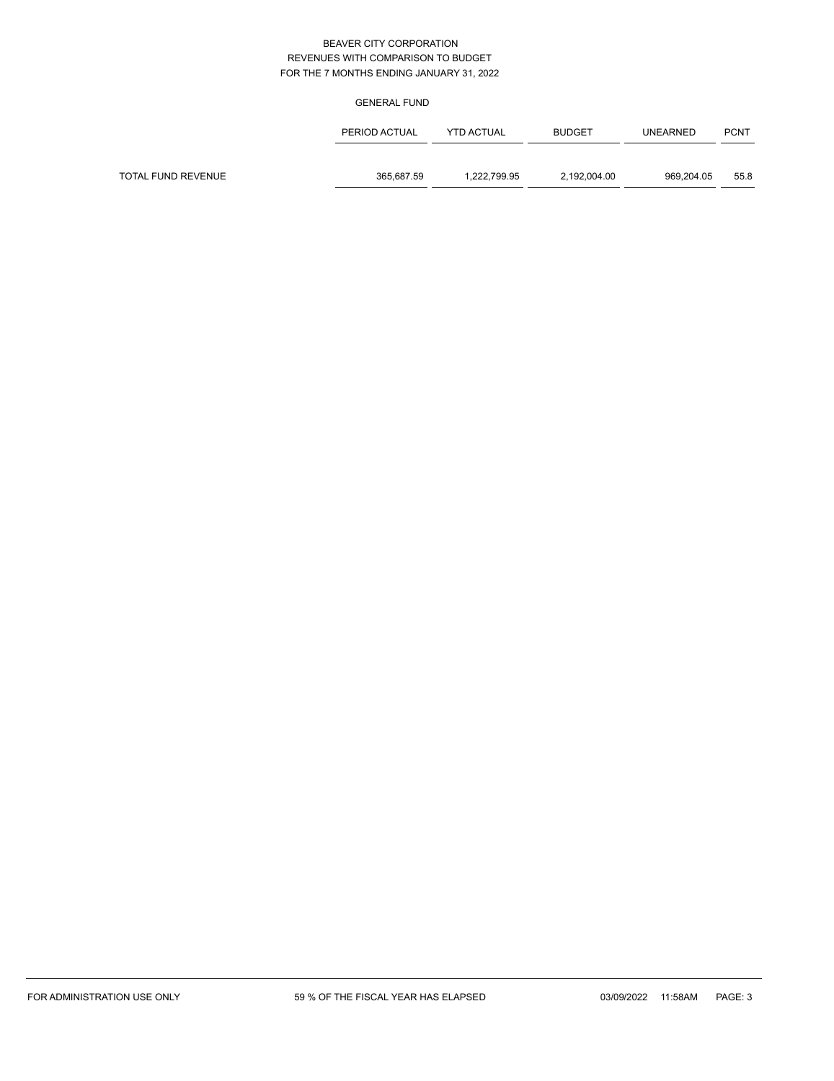|                    | PERIOD ACTUAL | <b>YTD ACTUAL</b> | <b>BUDGET</b> | <b>UNEARNED</b> | <b>PCNT</b> |
|--------------------|---------------|-------------------|---------------|-----------------|-------------|
|                    |               |                   |               |                 |             |
| TOTAL FUND REVENUE | 365.687.59    | 1.222.799.95      | 2,192,004.00  | 969.204.05      | 55.8        |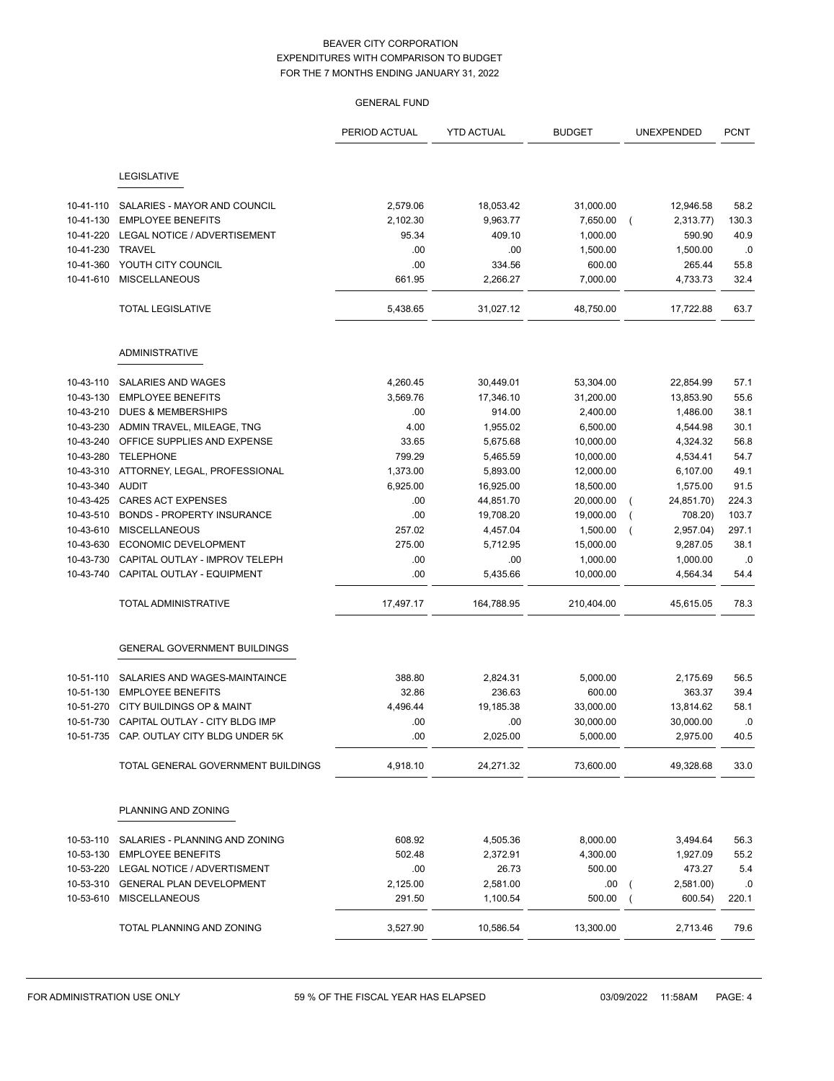|           |                                          | <b>GENERAL FUND</b> |                   |               |            |             |
|-----------|------------------------------------------|---------------------|-------------------|---------------|------------|-------------|
|           |                                          | PERIOD ACTUAL       | <b>YTD ACTUAL</b> | <b>BUDGET</b> | UNEXPENDED | <b>PCNT</b> |
|           | LEGISLATIVE                              |                     |                   |               |            |             |
| 10-41-110 | SALARIES - MAYOR AND COUNCIL             | 2,579.06            | 18,053.42         | 31,000.00     | 12,946.58  | 58.2        |
| 10-41-130 | <b>EMPLOYEE BENEFITS</b>                 | 2,102.30            | 9,963.77          | 7,650.00      | 2,313.77)  | 130.3       |
| 10-41-220 | LEGAL NOTICE / ADVERTISEMENT             | 95.34               | 409.10            | 1,000.00      | 590.90     | 40.9        |
| 10-41-230 | <b>TRAVEL</b>                            | .00                 | .00               | 1,500.00      | 1,500.00   | .0          |
| 10-41-360 | YOUTH CITY COUNCIL                       | .00                 | 334.56            | 600.00        | 265.44     | 55.8        |
| 10-41-610 | <b>MISCELLANEOUS</b>                     | 661.95              | 2,266.27          | 7,000.00      | 4,733.73   | 32.4        |
|           | <b>TOTAL LEGISLATIVE</b>                 | 5,438.65            | 31,027.12         | 48,750.00     | 17,722.88  | 63.7        |
|           | <b>ADMINISTRATIVE</b>                    |                     |                   |               |            |             |
| 10-43-110 | SALARIES AND WAGES                       | 4,260.45            | 30,449.01         | 53,304.00     | 22,854.99  | 57.1        |
| 10-43-130 | <b>EMPLOYEE BENEFITS</b>                 | 3,569.76            | 17,346.10         | 31,200.00     | 13,853.90  | 55.6        |
| 10-43-210 | <b>DUES &amp; MEMBERSHIPS</b>            | .00                 | 914.00            | 2,400.00      | 1,486.00   | 38.1        |
| 10-43-230 | ADMIN TRAVEL, MILEAGE, TNG               | 4.00                | 1,955.02          | 6,500.00      | 4,544.98   | 30.1        |
| 10-43-240 | OFFICE SUPPLIES AND EXPENSE              | 33.65               | 5,675.68          | 10,000.00     | 4,324.32   | 56.8        |
| 10-43-280 | <b>TELEPHONE</b>                         | 799.29              | 5,465.59          | 10,000.00     | 4,534.41   | 54.7        |
| 10-43-310 | ATTORNEY, LEGAL, PROFESSIONAL            | 1,373.00            | 5,893.00          | 12,000.00     | 6,107.00   | 49.1        |
| 10-43-340 | AUDIT                                    | 6,925.00            | 16,925.00         | 18,500.00     | 1,575.00   | 91.5        |
| 10-43-425 | <b>CARES ACT EXPENSES</b>                | .00                 | 44,851.70         | 20,000.00     | 24,851.70) | 224.3       |
| 10-43-510 | <b>BONDS - PROPERTY INSURANCE</b>        | .00                 | 19,708.20         | 19,000.00     | 708.20)    | 103.7       |
| 10-43-610 | <b>MISCELLANEOUS</b>                     | 257.02              | 4,457.04          | 1,500.00      | 2,957.04)  | 297.1       |
| 10-43-630 | ECONOMIC DEVELOPMENT                     | 275.00              | 5,712.95          | 15,000.00     | 9,287.05   | 38.1        |
| 10-43-730 | CAPITAL OUTLAY - IMPROV TELEPH           | .00                 | .00               | 1,000.00      | 1,000.00   | .0          |
| 10-43-740 | CAPITAL OUTLAY - EQUIPMENT               | .00                 | 5,435.66          | 10,000.00     | 4,564.34   | 54.4        |
|           | <b>TOTAL ADMINISTRATIVE</b>              | 17,497.17           | 164,788.95        | 210,404.00    | 45,615.05  | 78.3        |
|           | <b>GENERAL GOVERNMENT BUILDINGS</b>      |                     |                   |               |            |             |
| 10-51-110 | SALARIES AND WAGES-MAINTAINCE            | 388.80              | 2,824.31          | 5,000.00      | 2,175.69   | 56.5        |
| 10-51-130 | <b>EMPLOYEE BENEFITS</b>                 | 32.86               | 236.63            | 600.00        | 363.37     | 39.4        |
|           | 10-51-270 CITY BUILDINGS OP & MAINT      | 4,496.44            | 19,185.38         | 33,000.00     | 13,814.62  | 58.1        |
|           | 10-51-730 CAPITAL OUTLAY - CITY BLDG IMP | .00                 | .00               | 30,000.00     | 30,000.00  | .0          |
|           | 10-51-735 CAP. OUTLAY CITY BLDG UNDER 5K | .00                 | 2,025.00          | 5,000.00      | 2,975.00   | 40.5        |
|           | TOTAL GENERAL GOVERNMENT BUILDINGS       | 4,918.10            | 24,271.32         | 73,600.00     | 49,328.68  | 33.0        |
|           | PLANNING AND ZONING                      |                     |                   |               |            |             |
| 10-53-110 | SALARIES - PLANNING AND ZONING           | 608.92              | 4,505.36          | 8,000.00      | 3,494.64   | 56.3        |
|           | 10-53-130 EMPLOYEE BENEFITS              | 502.48              | 2,372.91          | 4,300.00      | 1,927.09   | 55.2        |
| 10-53-220 | LEGAL NOTICE / ADVERTISMENT              | .00                 | 26.73             | 500.00        | 473.27     | 5.4         |
|           | 10-53-310 GENERAL PLAN DEVELOPMENT       | 2,125.00            | 2,581.00          | .00           | 2,581.00)  | .0          |
|           | 10-53-610 MISCELLANEOUS                  | 291.50              | 1,100.54          | 500.00        | 600.54)    | 220.1       |
|           | TOTAL PLANNING AND ZONING                | 3,527.90            | 10,586.54         | 13,300.00     | 2,713.46   | 79.6        |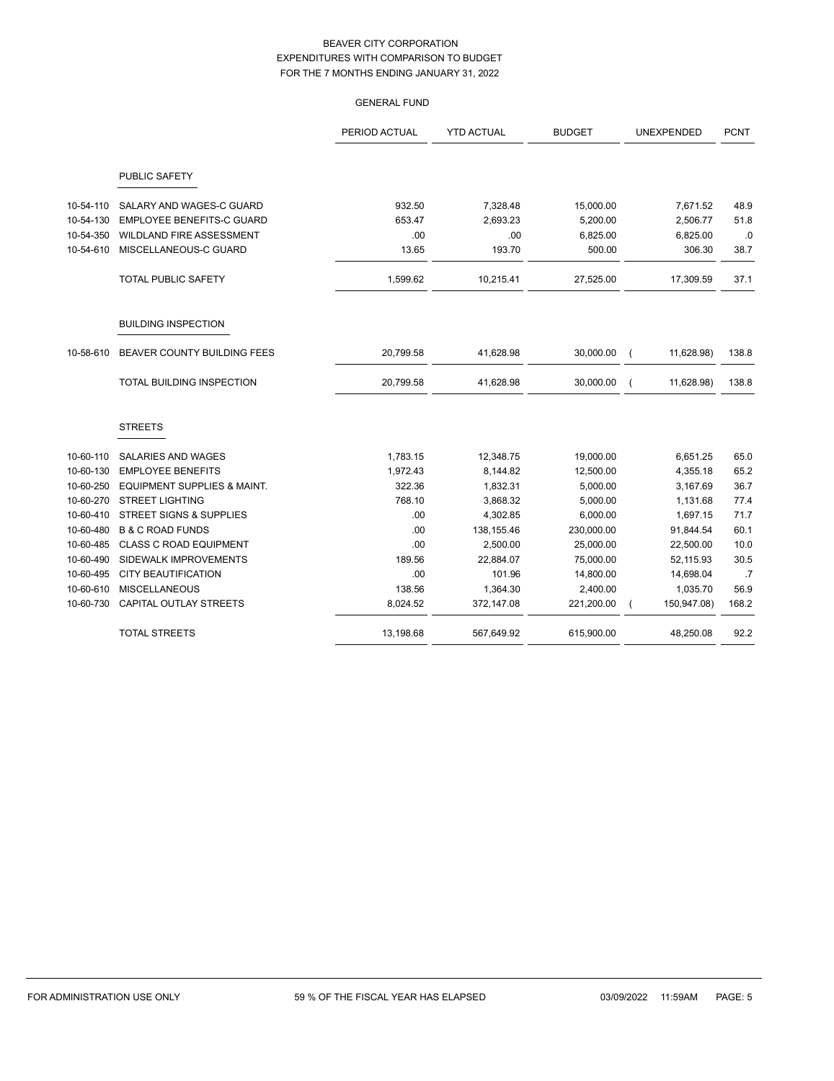|           |                                    | PERIOD ACTUAL | <b>YTD ACTUAL</b> | <b>BUDGET</b> | UNEXPENDED  | <b>PCNT</b> |
|-----------|------------------------------------|---------------|-------------------|---------------|-------------|-------------|
|           | PUBLIC SAFETY                      |               |                   |               |             |             |
| 10-54-110 | SALARY AND WAGES-C GUARD           | 932.50        | 7,328.48          | 15,000.00     | 7,671.52    | 48.9        |
| 10-54-130 | <b>EMPLOYEE BENEFITS-C GUARD</b>   | 653.47        | 2,693.23          | 5,200.00      | 2,506.77    | 51.8        |
| 10-54-350 | WILDLAND FIRE ASSESSMENT           | .00           | .00               | 6,825.00      | 6,825.00    | .0          |
| 10-54-610 | MISCELLANEOUS-C GUARD              | 13.65         | 193.70            | 500.00        | 306.30      | 38.7        |
|           | <b>TOTAL PUBLIC SAFETY</b>         | 1,599.62      | 10,215.41         | 27,525.00     | 17,309.59   | 37.1        |
|           | <b>BUILDING INSPECTION</b>         |               |                   |               |             |             |
| 10-58-610 | BEAVER COUNTY BUILDING FEES        | 20,799.58     | 41,628.98         | 30,000.00     | 11,628.98)  | 138.8       |
|           | TOTAL BUILDING INSPECTION          | 20,799.58     | 41,628.98         | 30,000.00     | 11,628.98)  | 138.8       |
|           | <b>STREETS</b>                     |               |                   |               |             |             |
| 10-60-110 | <b>SALARIES AND WAGES</b>          | 1,783.15      | 12,348.75         | 19,000.00     | 6,651.25    | 65.0        |
| 10-60-130 | <b>EMPLOYEE BENEFITS</b>           | 1,972.43      | 8,144.82          | 12,500.00     | 4,355.18    | 65.2        |
| 10-60-250 | EQUIPMENT SUPPLIES & MAINT.        | 322.36        | 1,832.31          | 5,000.00      | 3,167.69    | 36.7        |
| 10-60-270 | <b>STREET LIGHTING</b>             | 768.10        | 3,868.32          | 5,000.00      | 1,131.68    | 77.4        |
| 10-60-410 | <b>STREET SIGNS &amp; SUPPLIES</b> | .00           | 4,302.85          | 6,000.00      | 1,697.15    | 71.7        |
| 10-60-480 | <b>B &amp; C ROAD FUNDS</b>        | .00           | 138,155.46        | 230,000.00    | 91,844.54   | 60.1        |
| 10-60-485 | <b>CLASS C ROAD EQUIPMENT</b>      | .00           | 2,500.00          | 25,000.00     | 22,500.00   | 10.0        |
| 10-60-490 | SIDEWALK IMPROVEMENTS              | 189.56        | 22,884.07         | 75,000.00     | 52,115.93   | 30.5        |
| 10-60-495 | <b>CITY BEAUTIFICATION</b>         | .00           | 101.96            | 14,800.00     | 14,698.04   | .7          |
| 10-60-610 | <b>MISCELLANEOUS</b>               | 138.56        | 1,364.30          | 2,400.00      | 1,035.70    | 56.9        |
| 10-60-730 | CAPITAL OUTLAY STREETS             | 8,024.52      | 372,147.08        | 221,200.00    | 150,947.08) | 168.2       |
|           | <b>TOTAL STREETS</b>               | 13,198.68     | 567,649.92        | 615,900.00    | 48,250.08   | 92.2        |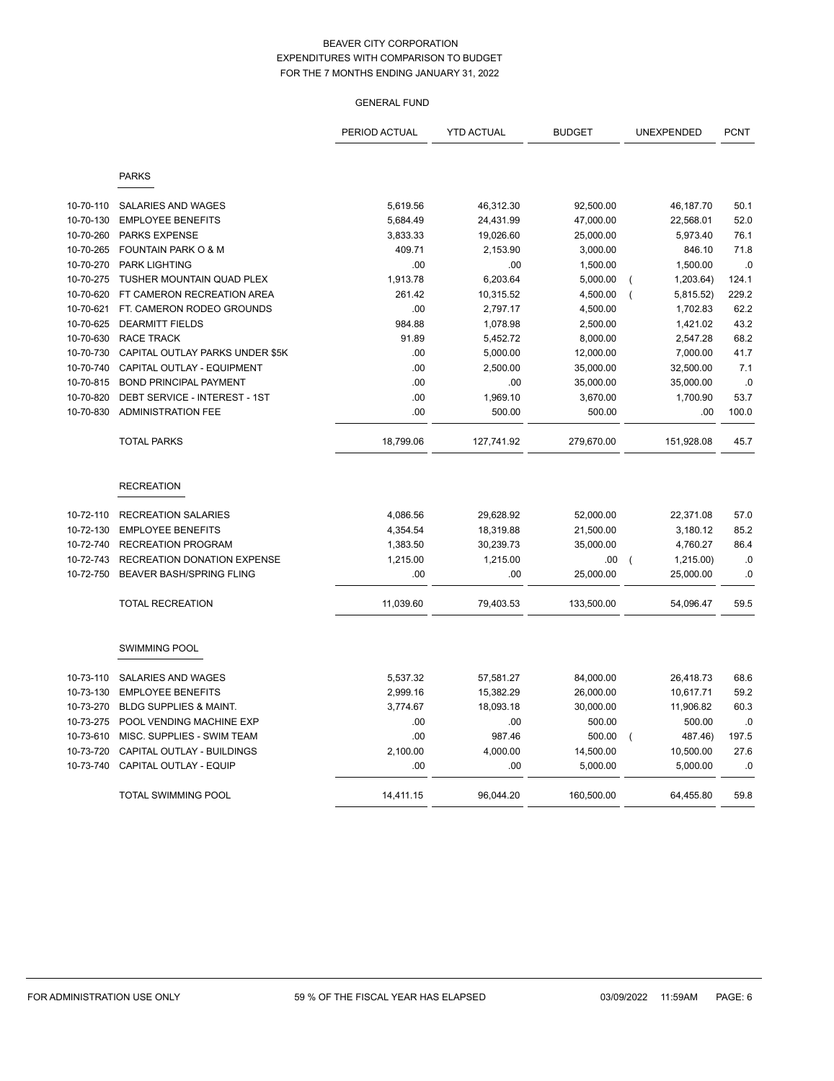|           |                                   | PERIOD ACTUAL | <b>YTD ACTUAL</b> | <b>BUDGET</b> |                | <b>UNEXPENDED</b> | <b>PCNT</b> |
|-----------|-----------------------------------|---------------|-------------------|---------------|----------------|-------------------|-------------|
|           | <b>PARKS</b>                      |               |                   |               |                |                   |             |
| 10-70-110 | <b>SALARIES AND WAGES</b>         | 5,619.56      | 46,312.30         | 92,500.00     |                | 46,187.70         | 50.1        |
| 10-70-130 | <b>EMPLOYEE BENEFITS</b>          | 5,684.49      | 24,431.99         | 47,000.00     |                | 22,568.01         | 52.0        |
| 10-70-260 | <b>PARKS EXPENSE</b>              | 3,833.33      | 19,026.60         | 25,000.00     |                | 5,973.40          | 76.1        |
| 10-70-265 | <b>FOUNTAIN PARK O &amp; M</b>    | 409.71        | 2,153.90          | 3,000.00      |                | 846.10            | 71.8        |
| 10-70-270 | <b>PARK LIGHTING</b>              | .00           | .00               | 1,500.00      |                | 1,500.00          | .0          |
| 10-70-275 | TUSHER MOUNTAIN QUAD PLEX         | 1,913.78      | 6,203.64          | 5,000.00      | (              | 1,203.64)         | 124.1       |
| 10-70-620 | FT CAMERON RECREATION AREA        | 261.42        | 10,315.52         | 4,500.00      | $\overline{ }$ | 5,815.52)         | 229.2       |
| 10-70-621 | FT. CAMERON RODEO GROUNDS         | .00           | 2,797.17          | 4,500.00      |                | 1,702.83          | 62.2        |
| 10-70-625 | <b>DEARMITT FIELDS</b>            | 984.88        | 1,078.98          | 2,500.00      |                | 1,421.02          | 43.2        |
| 10-70-630 | <b>RACE TRACK</b>                 | 91.89         | 5,452.72          | 8,000.00      |                | 2,547.28          | 68.2        |
| 10-70-730 | CAPITAL OUTLAY PARKS UNDER \$5K   | .00           | 5,000.00          | 12,000.00     |                | 7,000.00          | 41.7        |
| 10-70-740 | CAPITAL OUTLAY - EQUIPMENT        | .00           | 2,500.00          | 35,000.00     |                | 32,500.00         | 7.1         |
| 10-70-815 | <b>BOND PRINCIPAL PAYMENT</b>     | .00           | .00               | 35,000.00     |                | 35,000.00         | .0          |
| 10-70-820 | DEBT SERVICE - INTEREST - 1ST     | .00           | 1,969.10          | 3,670.00      |                | 1,700.90          | 53.7        |
| 10-70-830 | <b>ADMINISTRATION FEE</b>         | .00           | 500.00            | 500.00        |                | .00               | 100.0       |
|           | <b>TOTAL PARKS</b>                | 18,799.06     | 127,741.92        | 279,670.00    |                | 151,928.08        | 45.7        |
|           | <b>RECREATION</b>                 |               |                   |               |                |                   |             |
| 10-72-110 | <b>RECREATION SALARIES</b>        | 4,086.56      | 29,628.92         | 52,000.00     |                | 22,371.08         | 57.0        |
| 10-72-130 | <b>EMPLOYEE BENEFITS</b>          | 4,354.54      | 18,319.88         | 21,500.00     |                | 3,180.12          | 85.2        |
| 10-72-740 | <b>RECREATION PROGRAM</b>         | 1,383.50      | 30,239.73         | 35,000.00     |                | 4,760.27          | 86.4        |
| 10-72-743 | RECREATION DONATION EXPENSE       | 1,215.00      | 1,215.00          | .00           | $\overline{ }$ | 1,215.00)         | .0          |
| 10-72-750 | <b>BEAVER BASH/SPRING FLING</b>   | .00           | .00               | 25,000.00     |                | 25,000.00         | .0          |
|           | <b>TOTAL RECREATION</b>           | 11,039.60     | 79,403.53         | 133,500.00    |                | 54,096.47         | 59.5        |
|           | <b>SWIMMING POOL</b>              |               |                   |               |                |                   |             |
| 10-73-110 | SALARIES AND WAGES                | 5,537.32      | 57,581.27         | 84,000.00     |                | 26,418.73         | 68.6        |
| 10-73-130 | <b>EMPLOYEE BENEFITS</b>          | 2,999.16      | 15,382.29         | 26,000.00     |                | 10,617.71         | 59.2        |
| 10-73-270 | <b>BLDG SUPPLIES &amp; MAINT.</b> | 3,774.67      | 18,093.18         | 30,000.00     |                | 11,906.82         | 60.3        |
| 10-73-275 | POOL VENDING MACHINE EXP          | .00           | .00               | 500.00        |                | 500.00            | .0          |
| 10-73-610 | MISC. SUPPLIES - SWIM TEAM        | .00           | 987.46            | 500.00        | $\overline{ }$ | 487.46)           | 197.5       |
| 10-73-720 | CAPITAL OUTLAY - BUILDINGS        | 2,100.00      | 4,000.00          | 14,500.00     |                | 10,500.00         | 27.6        |
| 10-73-740 | <b>CAPITAL OUTLAY - EQUIP</b>     | .00           | .00               | 5,000.00      |                | 5,000.00          | .0          |
|           | <b>TOTAL SWIMMING POOL</b>        | 14,411.15     | 96,044.20         | 160,500.00    |                | 64,455.80         | 59.8        |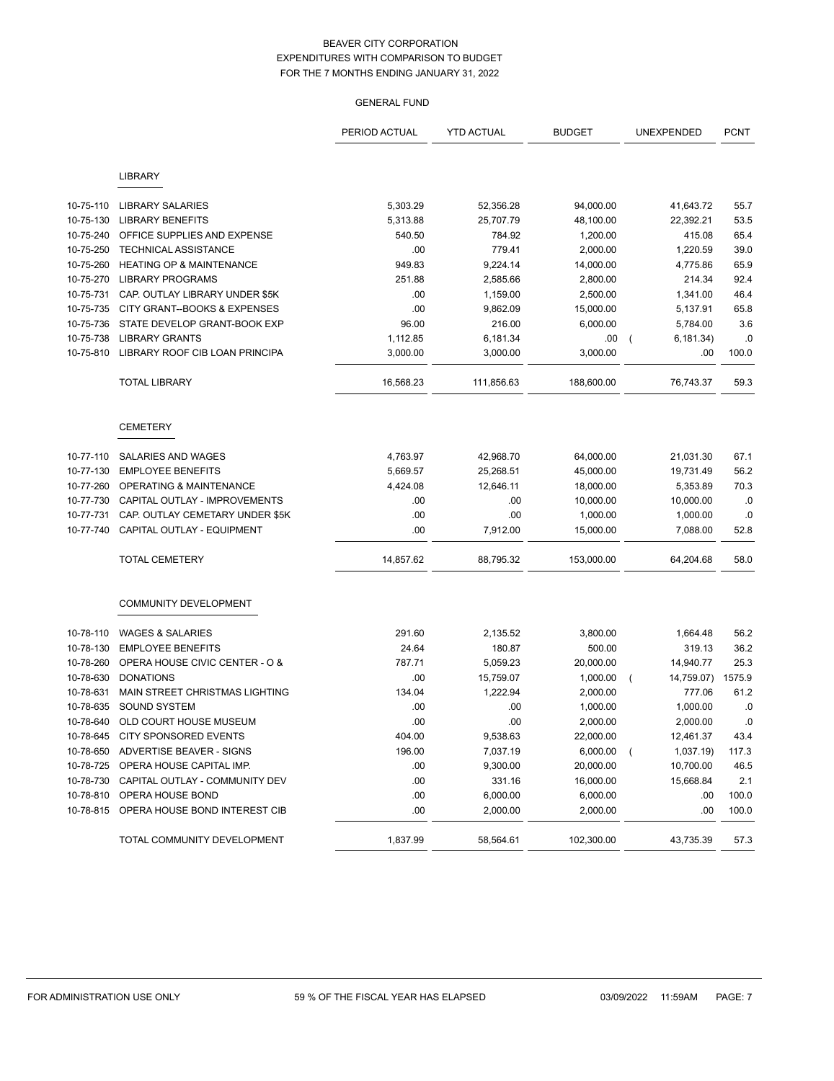|           |                                     | PERIOD ACTUAL | <b>YTD ACTUAL</b> | <b>BUDGET</b> | UNEXPENDED                   | <b>PCNT</b> |
|-----------|-------------------------------------|---------------|-------------------|---------------|------------------------------|-------------|
|           | <b>LIBRARY</b>                      |               |                   |               |                              |             |
|           |                                     |               |                   |               |                              |             |
| 10-75-110 | <b>LIBRARY SALARIES</b>             | 5,303.29      | 52,356.28         | 94,000.00     | 41,643.72                    | 55.7        |
| 10-75-130 | <b>LIBRARY BENEFITS</b>             | 5,313.88      | 25,707.79         | 48,100.00     | 22,392.21                    | 53.5        |
| 10-75-240 | OFFICE SUPPLIES AND EXPENSE         | 540.50        | 784.92            | 1,200.00      | 415.08                       | 65.4        |
| 10-75-250 | <b>TECHNICAL ASSISTANCE</b>         | .00           | 779.41            | 2,000.00      | 1,220.59                     | 39.0        |
| 10-75-260 | <b>HEATING OP &amp; MAINTENANCE</b> | 949.83        | 9,224.14          | 14,000.00     | 4,775.86                     | 65.9        |
| 10-75-270 | <b>LIBRARY PROGRAMS</b>             | 251.88        | 2,585.66          | 2,800.00      | 214.34                       | 92.4        |
| 10-75-731 | CAP. OUTLAY LIBRARY UNDER \$5K      | .00           | 1,159.00          | 2,500.00      | 1,341.00                     | 46.4        |
| 10-75-735 | CITY GRANT--BOOKS & EXPENSES        | .00           | 9,862.09          | 15,000.00     | 5,137.91                     | 65.8        |
| 10-75-736 | STATE DEVELOP GRANT-BOOK EXP        | 96.00         | 216.00            | 6,000.00      | 5,784.00                     | 3.6         |
| 10-75-738 | <b>LIBRARY GRANTS</b>               | 1,112.85      | 6,181.34          | .00           | 6,181.34)<br>$\overline{ }$  | .0          |
| 10-75-810 | LIBRARY ROOF CIB LOAN PRINCIPA      | 3,000.00      | 3,000.00          | 3,000.00      | .00                          | 100.0       |
|           | <b>TOTAL LIBRARY</b>                | 16,568.23     | 111,856.63        | 188,600.00    | 76,743.37                    | 59.3        |
|           | <b>CEMETERY</b>                     |               |                   |               |                              |             |
| 10-77-110 | SALARIES AND WAGES                  | 4,763.97      | 42,968.70         | 64,000.00     | 21,031.30                    | 67.1        |
| 10-77-130 | <b>EMPLOYEE BENEFITS</b>            | 5,669.57      | 25,268.51         | 45,000.00     | 19,731.49                    | 56.2        |
| 10-77-260 | <b>OPERATING &amp; MAINTENANCE</b>  | 4,424.08      | 12,646.11         | 18,000.00     | 5,353.89                     | 70.3        |
| 10-77-730 | CAPITAL OUTLAY - IMPROVEMENTS       | .00           | .00               | 10,000.00     | 10,000.00                    | .0          |
| 10-77-731 | CAP. OUTLAY CEMETARY UNDER \$5K     | .00           | .00               | 1,000.00      | 1,000.00                     | .0          |
| 10-77-740 | CAPITAL OUTLAY - EQUIPMENT          | .00           | 7,912.00          | 15,000.00     | 7,088.00                     | 52.8        |
|           | <b>TOTAL CEMETERY</b>               | 14,857.62     | 88,795.32         | 153,000.00    | 64,204.68                    | 58.0        |
|           | <b>COMMUNITY DEVELOPMENT</b>        |               |                   |               |                              |             |
| 10-78-110 | <b>WAGES &amp; SALARIES</b>         | 291.60        | 2,135.52          | 3,800.00      | 1,664.48                     | 56.2        |
| 10-78-130 | <b>EMPLOYEE BENEFITS</b>            | 24.64         | 180.87            | 500.00        | 319.13                       | 36.2        |
| 10-78-260 | OPERA HOUSE CIVIC CENTER - O &      | 787.71        | 5,059.23          | 20,000.00     | 14,940.77                    | 25.3        |
| 10-78-630 | <b>DONATIONS</b>                    | .00           | 15,759.07         | 1,000.00      | 14,759.07)<br>$\overline{ }$ | 1575.9      |
| 10-78-631 | MAIN STREET CHRISTMAS LIGHTING      | 134.04        | 1,222.94          | 2,000.00      | 777.06                       | 61.2        |
| 10-78-635 | <b>SOUND SYSTEM</b>                 | .00           | .00               | 1,000.00      | 1,000.00                     | $\cdot$ 0   |
| 10-78-640 | OLD COURT HOUSE MUSEUM              | .00           | .00               | 2,000.00      | 2,000.00                     | 0.0         |
| 10-78-645 | CITY SPONSORED EVENTS               | 404.00        | 9,538.63          | 22,000.00     | 12,461.37                    | 43.4        |
| 10-78-650 | ADVERTISE BEAVER - SIGNS            | 196.00        | 7,037.19          | 6,000.00      | 1,037.19)<br>$\left($        | 117.3       |
| 10-78-725 | OPERA HOUSE CAPITAL IMP.            | .00           | 9,300.00          | 20,000.00     | 10,700.00                    | 46.5        |
| 10-78-730 | CAPITAL OUTLAY - COMMUNITY DEV      | .00           | 331.16            | 16,000.00     | 15,668.84                    | 2.1         |
| 10-78-810 | OPERA HOUSE BOND                    | .00           | 6,000.00          | 6,000.00      | .00                          | 100.0       |
| 10-78-815 | OPERA HOUSE BOND INTEREST CIB       | .00           | 2,000.00          | 2,000.00      | .00                          | 100.0       |
|           | TOTAL COMMUNITY DEVELOPMENT         | 1,837.99      | 58,564.61         | 102,300.00    | 43,735.39                    | 57.3        |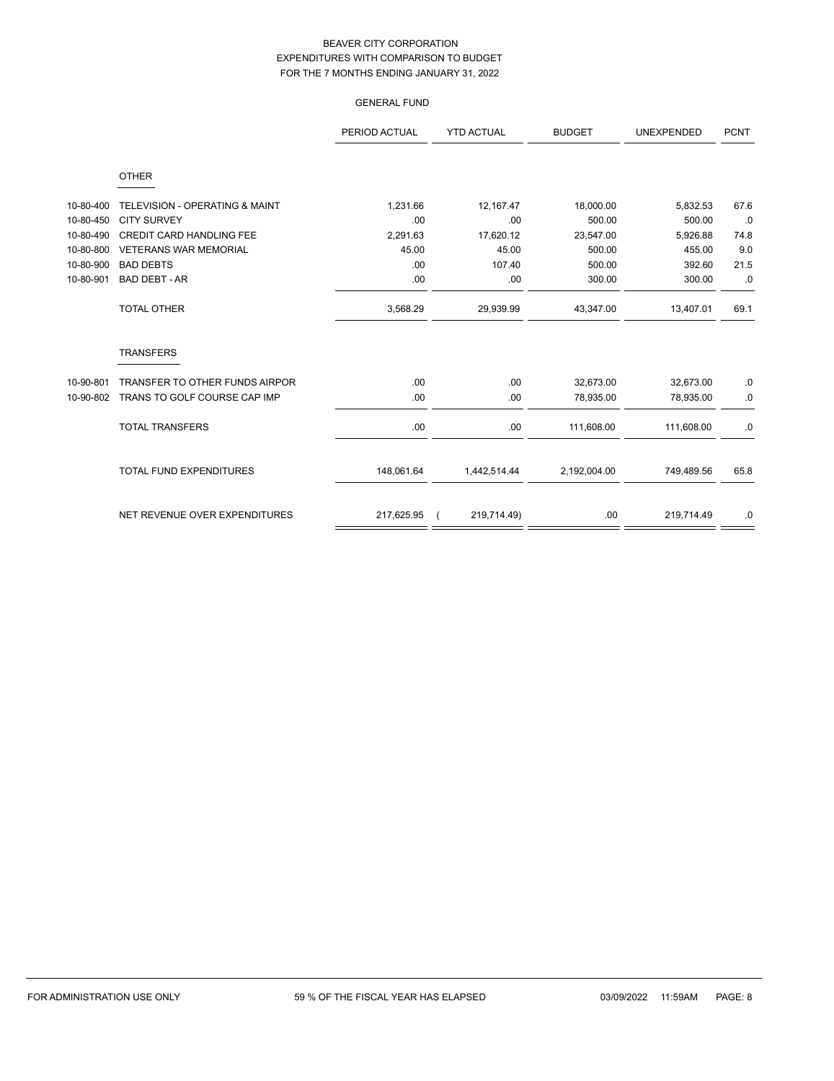GENERAL FUND

|           |                                           | PERIOD ACTUAL | <b>YTD ACTUAL</b> | <b>BUDGET</b> | <b>UNEXPENDED</b> | <b>PCNT</b> |
|-----------|-------------------------------------------|---------------|-------------------|---------------|-------------------|-------------|
|           | <b>OTHER</b>                              |               |                   |               |                   |             |
| 10-80-400 | <b>TELEVISION - OPERATING &amp; MAINT</b> | 1,231.66      | 12,167.47         | 18,000.00     | 5,832.53          | 67.6        |
| 10-80-450 | <b>CITY SURVEY</b>                        | .00           | .00               | 500.00        | 500.00            | .0          |
| 10-80-490 | <b>CREDIT CARD HANDLING FEE</b>           | 2,291.63      | 17,620.12         | 23,547.00     | 5,926.88          | 74.8        |
| 10-80-800 | <b>VETERANS WAR MEMORIAL</b>              | 45.00         | 45.00             | 500.00        | 455.00            | 9.0         |
| 10-80-900 | <b>BAD DEBTS</b>                          | .00           | 107.40            | 500.00        | 392.60            | 21.5        |
| 10-80-901 | <b>BAD DEBT - AR</b>                      | .00           | .00               | 300.00        | 300.00            | .0          |
|           | <b>TOTAL OTHER</b>                        | 3,568.29      | 29,939.99         | 43,347.00     | 13,407.01         | 69.1        |
|           | <b>TRANSFERS</b>                          |               |                   |               |                   |             |
| 10-90-801 | TRANSFER TO OTHER FUNDS AIRPOR            | .00           | .00               | 32,673.00     | 32,673.00         | .0          |
| 10-90-802 | TRANS TO GOLF COURSE CAP IMP              | .00           | .00.              | 78,935.00     | 78,935.00         | .0          |
|           | <b>TOTAL TRANSFERS</b>                    | .00.          | .00               | 111,608.00    | 111,608.00        | .0          |
|           | <b>TOTAL FUND EXPENDITURES</b>            | 148,061.64    | 1,442,514.44      | 2,192,004.00  | 749,489.56        | 65.8        |

NET REVENUE OVER EXPENDITURES 217,625.95 (219,714.49) 219,714.49 .00 219,714.49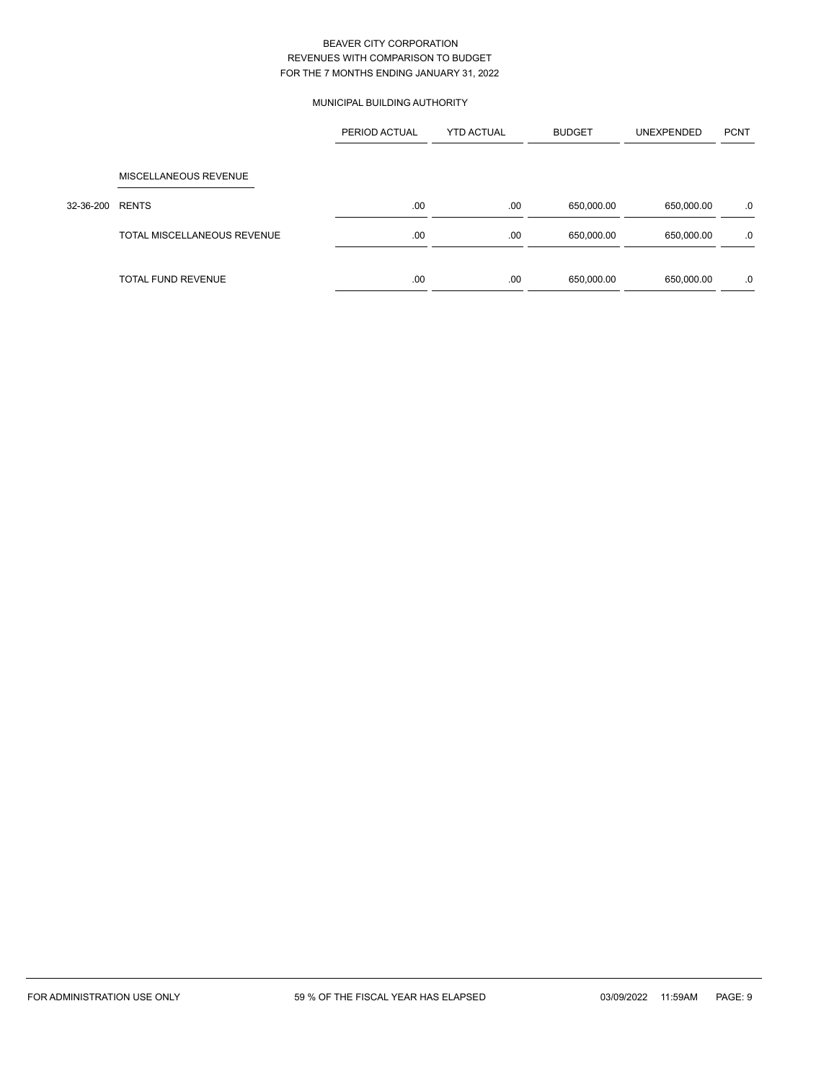### MUNICIPAL BUILDING AUTHORITY

|           |                             | PERIOD ACTUAL | <b>YTD ACTUAL</b> | <b>BUDGET</b> | UNEXPENDED | <b>PCNT</b> |
|-----------|-----------------------------|---------------|-------------------|---------------|------------|-------------|
|           |                             |               |                   |               |            |             |
|           | MISCELLANEOUS REVENUE       |               |                   |               |            |             |
| 32-36-200 | <b>RENTS</b>                | .00           | .00               | 650,000.00    | 650,000.00 | .0          |
|           | TOTAL MISCELLANEOUS REVENUE | .00           | .00               | 650,000.00    | 650,000.00 | .0          |
|           | <b>TOTAL FUND REVENUE</b>   | .00           | .00               | 650,000.00    | 650,000.00 | .0          |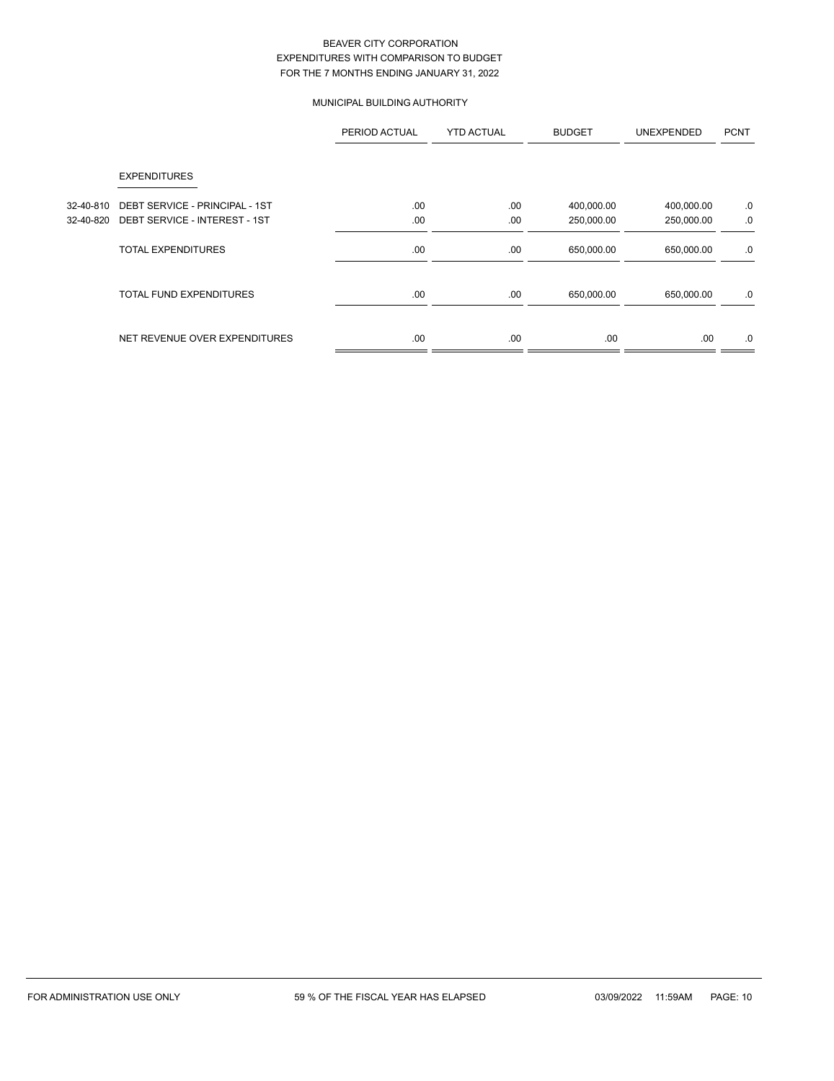### MUNICIPAL BUILDING AUTHORITY

|           |                                | PERIOD ACTUAL | <b>YTD ACTUAL</b> | <b>BUDGET</b> | UNEXPENDED | <b>PCNT</b> |
|-----------|--------------------------------|---------------|-------------------|---------------|------------|-------------|
|           | <b>EXPENDITURES</b>            |               |                   |               |            |             |
| 32-40-810 | DEBT SERVICE - PRINCIPAL - 1ST | .00.          | .00               | 400,000.00    | 400,000.00 | .0          |
| 32-40-820 | DEBT SERVICE - INTEREST - 1ST  | .00           | .00               | 250,000.00    | 250,000.00 | .0          |
|           | <b>TOTAL EXPENDITURES</b>      | .00           | .00               | 650,000.00    | 650,000.00 | .0          |
|           | <b>TOTAL FUND EXPENDITURES</b> | .00           | .00               | 650,000.00    | 650,000.00 | .0          |
|           | NET REVENUE OVER EXPENDITURES  | .00.          | .00               | .00           | .00.       | .0          |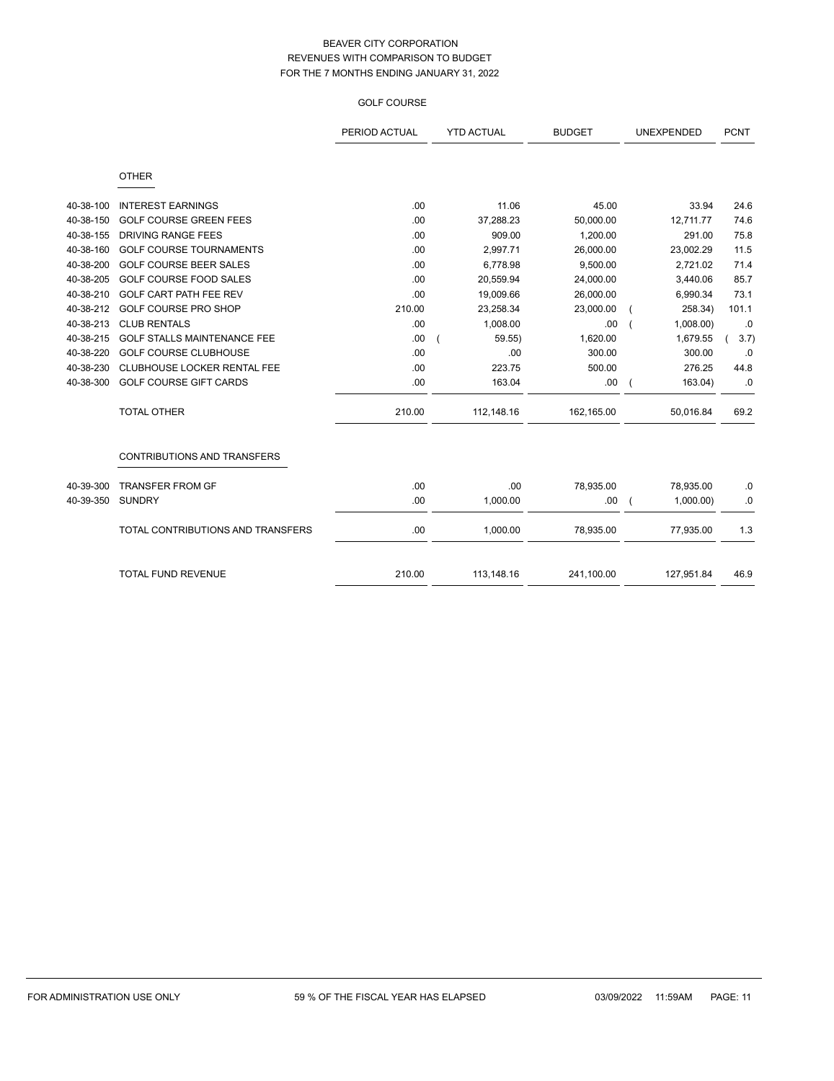### GOLF COURSE

|           |                                    | PERIOD ACTUAL | <b>YTD ACTUAL</b> | <b>BUDGET</b> | UNEXPENDED | <b>PCNT</b> |
|-----------|------------------------------------|---------------|-------------------|---------------|------------|-------------|
|           | <b>OTHER</b>                       |               |                   |               |            |             |
| 40-38-100 | <b>INTEREST EARNINGS</b>           | .00           | 11.06             | 45.00         | 33.94      | 24.6        |
| 40-38-150 | <b>GOLF COURSE GREEN FEES</b>      | .00           | 37,288.23         | 50,000.00     | 12,711.77  | 74.6        |
| 40-38-155 | <b>DRIVING RANGE FEES</b>          | .00           | 909.00            | 1,200.00      | 291.00     | 75.8        |
| 40-38-160 | <b>GOLF COURSE TOURNAMENTS</b>     | .00           | 2,997.71          | 26,000.00     | 23,002.29  | 11.5        |
| 40-38-200 | <b>GOLF COURSE BEER SALES</b>      | .00           | 6,778.98          | 9,500.00      | 2,721.02   | 71.4        |
| 40-38-205 | <b>GOLF COURSE FOOD SALES</b>      | .00           | 20,559.94         | 24,000.00     | 3,440.06   | 85.7        |
| 40-38-210 | GOLF CART PATH FEE REV             | .00           | 19,009.66         | 26,000.00     | 6,990.34   | 73.1        |
| 40-38-212 | <b>GOLF COURSE PRO SHOP</b>        | 210.00        | 23,258.34         | 23,000.00     | 258.34)    | 101.1       |
| 40-38-213 | <b>CLUB RENTALS</b>                | .00           | 1,008.00          | .00           | 1,008.00   | .0          |
| 40-38-215 | <b>GOLF STALLS MAINTENANCE FEE</b> | .00           | 59.55             | 1,620.00      | 1,679.55   | 3.7)        |
| 40-38-220 | <b>GOLF COURSE CLUBHOUSE</b>       | .00           | .00               | 300.00        | 300.00     | .0          |
| 40-38-230 | CLUBHOUSE LOCKER RENTAL FEE        | .00           | 223.75            | 500.00        | 276.25     | 44.8        |
| 40-38-300 | <b>GOLF COURSE GIFT CARDS</b>      | .00           | 163.04            | .00           | 163.04)    | .0          |
|           | <b>TOTAL OTHER</b>                 | 210.00        | 112,148.16        | 162,165.00    | 50,016.84  | 69.2        |
|           | <b>CONTRIBUTIONS AND TRANSFERS</b> |               |                   |               |            |             |
| 40-39-300 | <b>TRANSFER FROM GF</b>            | .00           | .00               | 78,935.00     | 78,935.00  | .0          |
| 40-39-350 | <b>SUNDRY</b>                      | .00           | 1,000.00          | .00.          | 1,000.00   | .0          |
|           | TOTAL CONTRIBUTIONS AND TRANSFERS  | .00           | 1,000.00          | 78,935.00     | 77,935.00  | 1.3         |
|           | <b>TOTAL FUND REVENUE</b>          | 210.00        | 113,148.16        | 241,100.00    | 127,951.84 | 46.9        |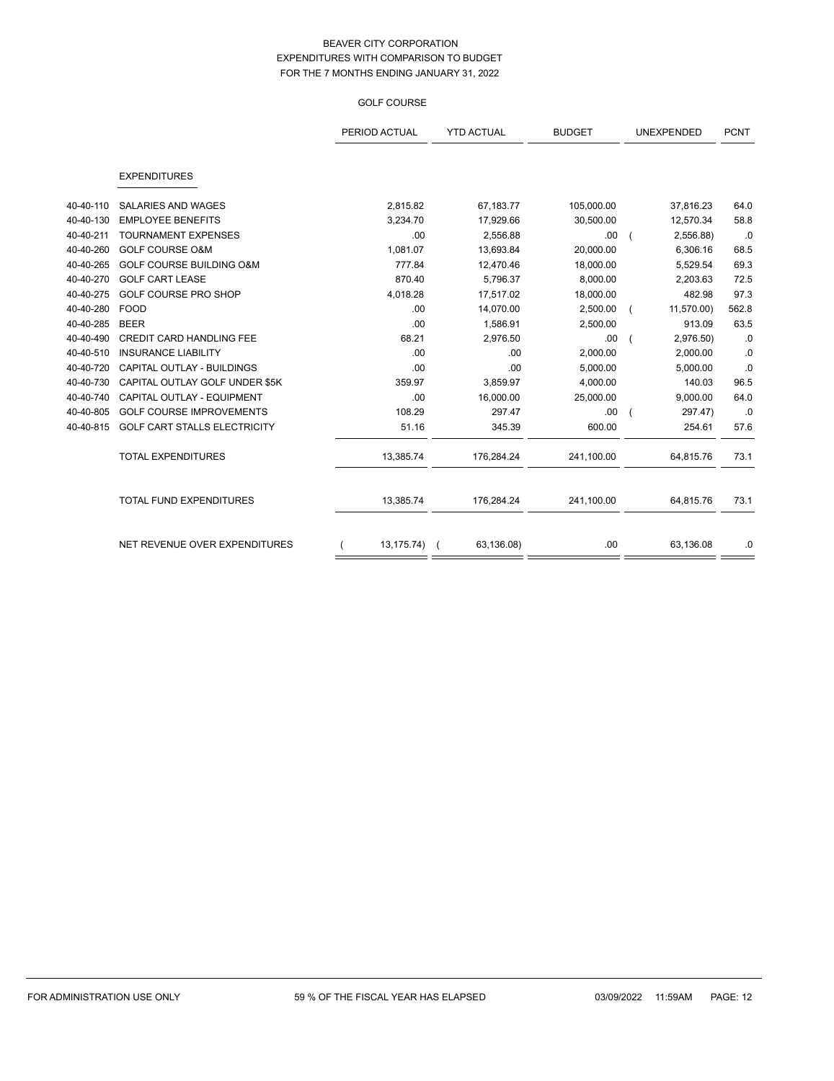### GOLF COURSE

|           |                                     | PERIOD ACTUAL | <b>YTD ACTUAL</b> | <b>BUDGET</b> | UNEXPENDED | <b>PCNT</b> |
|-----------|-------------------------------------|---------------|-------------------|---------------|------------|-------------|
|           | <b>EXPENDITURES</b>                 |               |                   |               |            |             |
|           |                                     |               |                   |               |            |             |
| 40-40-110 | <b>SALARIES AND WAGES</b>           | 2,815.82      | 67,183.77         | 105,000.00    | 37,816.23  | 64.0        |
| 40-40-130 | <b>EMPLOYEE BENEFITS</b>            | 3,234.70      | 17,929.66         | 30,500.00     | 12,570.34  | 58.8        |
| 40-40-211 | <b>TOURNAMENT EXPENSES</b>          | .00           | 2,556.88          | .00           | 2,556.88)  | .0          |
| 40-40-260 | <b>GOLF COURSE O&amp;M</b>          | 1,081.07      | 13,693.84         | 20,000.00     | 6,306.16   | 68.5        |
| 40-40-265 | <b>GOLF COURSE BUILDING O&amp;M</b> | 777.84        | 12,470.46         | 18,000.00     | 5,529.54   | 69.3        |
| 40-40-270 | <b>GOLF CART LEASE</b>              | 870.40        | 5,796.37          | 8,000.00      | 2,203.63   | 72.5        |
| 40-40-275 | <b>GOLF COURSE PRO SHOP</b>         | 4,018.28      | 17,517.02         | 18,000.00     | 482.98     | 97.3        |
| 40-40-280 | <b>FOOD</b>                         | .00           | 14,070.00         | 2,500.00      | 11,570.00) | 562.8       |
| 40-40-285 | <b>BEER</b>                         | .00           | 1,586.91          | 2,500.00      | 913.09     | 63.5        |
| 40-40-490 | <b>CREDIT CARD HANDLING FEE</b>     | 68.21         | 2,976.50          | .00           | 2,976.50)  | .0          |
| 40-40-510 | <b>INSURANCE LIABILITY</b>          | .00           | .00               | 2,000.00      | 2,000.00   | .0          |
| 40-40-720 | CAPITAL OUTLAY - BUILDINGS          | .00           | .00               | 5,000.00      | 5,000.00   | .0          |
| 40-40-730 | CAPITAL OUTLAY GOLF UNDER \$5K      | 359.97        | 3,859.97          | 4,000.00      | 140.03     | 96.5        |
| 40-40-740 | CAPITAL OUTLAY - EQUIPMENT          | .00           | 16,000.00         | 25,000.00     | 9,000.00   | 64.0        |
| 40-40-805 | <b>GOLF COURSE IMPROVEMENTS</b>     | 108.29        | 297.47            | .00           | 297.47)    | .0          |
| 40-40-815 | GOLF CART STALLS ELECTRICITY        | 51.16         | 345.39            | 600.00        | 254.61     | 57.6        |
|           | <b>TOTAL EXPENDITURES</b>           | 13,385.74     | 176,284.24        | 241,100.00    | 64,815.76  | 73.1        |
|           | TOTAL FUND EXPENDITURES             | 13,385.74     | 176,284.24        | 241,100.00    | 64,815.76  | 73.1        |
|           | NET REVENUE OVER EXPENDITURES       | 13,175.74)    | 63,136.08)        | .00           | 63,136.08  | .0          |
|           |                                     |               |                   |               |            |             |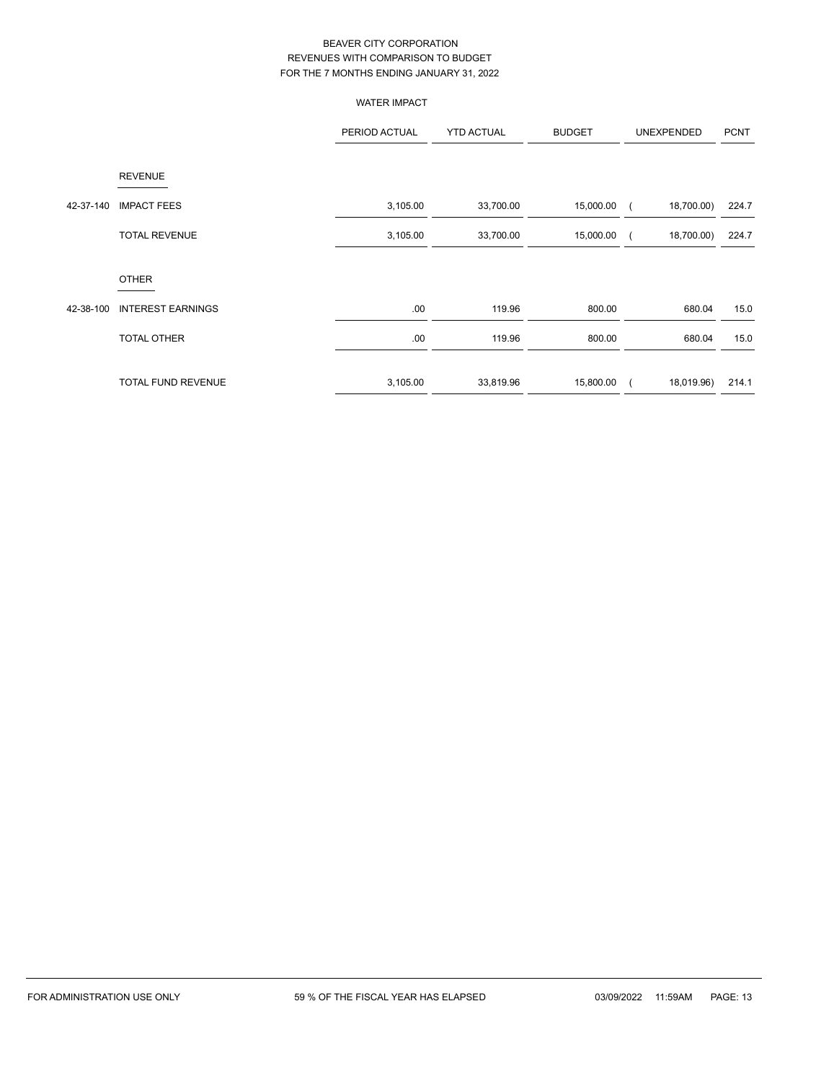|           |                          | <b>WATER IMPACT</b> |                   |               |            |                |
|-----------|--------------------------|---------------------|-------------------|---------------|------------|----------------|
|           |                          | PERIOD ACTUAL       | <b>YTD ACTUAL</b> | <b>BUDGET</b> | UNEXPENDED | <b>PCNT</b>    |
|           | <b>REVENUE</b>           |                     |                   |               |            |                |
| 42-37-140 | <b>IMPACT FEES</b>       | 3,105.00            | 33,700.00         | 15,000.00     | 18,700.00) | 224.7          |
|           | <b>TOTAL REVENUE</b>     | 3,105.00            | 33,700.00         | 15,000.00     | 18,700.00) | 224.7          |
|           | <b>OTHER</b>             |                     |                   |               |            |                |
| 42-38-100 | <b>INTEREST EARNINGS</b> | .00                 | 119.96            | 800.00        |            | 15.0<br>680.04 |
|           | <b>TOTAL OTHER</b>       | .00                 | 119.96            | 800.00        |            | 15.0<br>680.04 |
|           | TOTAL FUND REVENUE       | 3,105.00            | 33,819.96         | 15,800.00     | 18,019.96) | 214.1          |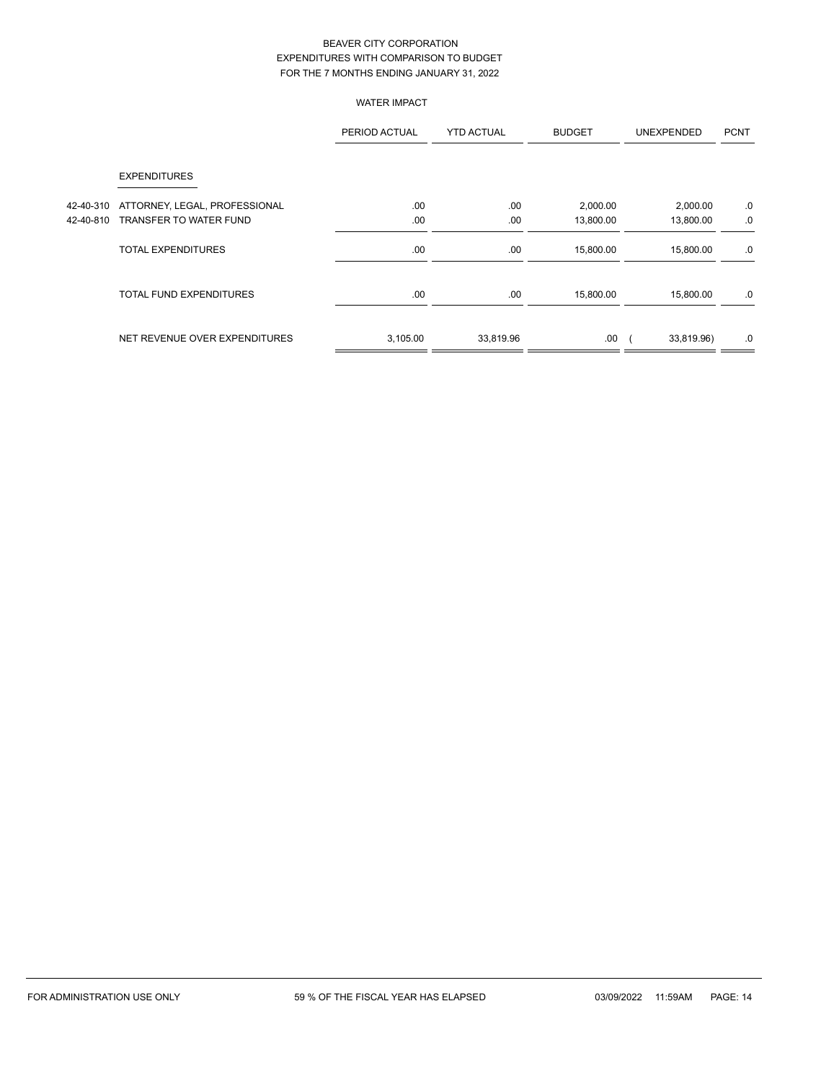### WATER IMPACT

|           |                                | PERIOD ACTUAL | <b>YTD ACTUAL</b> | <b>BUDGET</b> | <b>UNEXPENDED</b> | <b>PCNT</b> |
|-----------|--------------------------------|---------------|-------------------|---------------|-------------------|-------------|
|           | <b>EXPENDITURES</b>            |               |                   |               |                   |             |
| 42-40-310 | ATTORNEY, LEGAL, PROFESSIONAL  | .00.          | .00               | 2,000.00      | 2,000.00          | .0          |
| 42-40-810 | TRANSFER TO WATER FUND         | .00           | .00               | 13,800.00     | 13,800.00         | .0          |
|           | <b>TOTAL EXPENDITURES</b>      | .00           | .00               | 15,800.00     | 15,800.00         | .0          |
|           | <b>TOTAL FUND EXPENDITURES</b> | .00           | .00               | 15,800.00     | 15,800.00         | .0          |
|           | NET REVENUE OVER EXPENDITURES  | 3,105.00      | 33,819.96         | .00           | 33,819.96)        | .0          |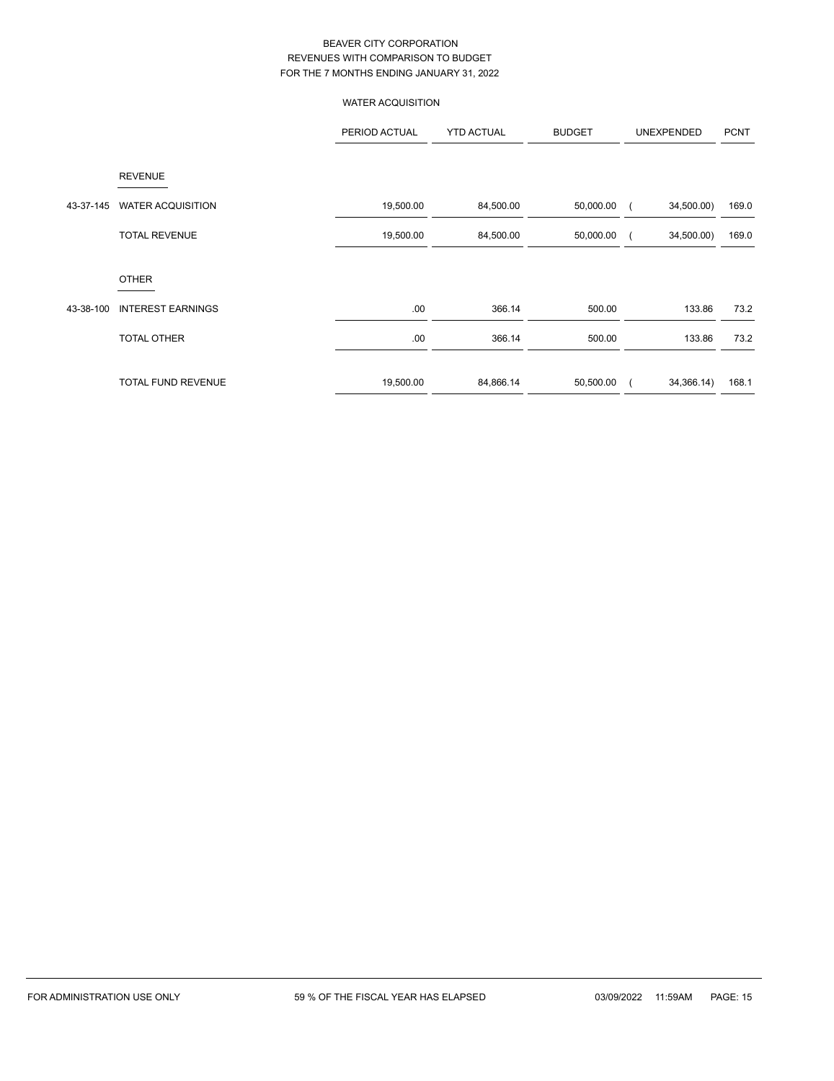# WATER ACQUISITION

|           |                           | PERIOD ACTUAL | <b>YTD ACTUAL</b> | <b>BUDGET</b> | UNEXPENDED |            | <b>PCNT</b> |
|-----------|---------------------------|---------------|-------------------|---------------|------------|------------|-------------|
|           | <b>REVENUE</b>            |               |                   |               |            |            |             |
| 43-37-145 | <b>WATER ACQUISITION</b>  | 19,500.00     | 84,500.00         | 50,000.00     |            | 34,500.00) | 169.0       |
|           | <b>TOTAL REVENUE</b>      | 19,500.00     | 84,500.00         | 50,000.00     |            | 34,500.00) | 169.0       |
|           | <b>OTHER</b>              |               |                   |               |            |            |             |
| 43-38-100 | <b>INTEREST EARNINGS</b>  | .00.          | 366.14            | 500.00        |            | 133.86     | 73.2        |
|           | <b>TOTAL OTHER</b>        | .00.          | 366.14            | 500.00        |            | 133.86     | 73.2        |
|           | <b>TOTAL FUND REVENUE</b> | 19,500.00     | 84,866.14         | 50,500.00     |            | 34,366.14) | 168.1       |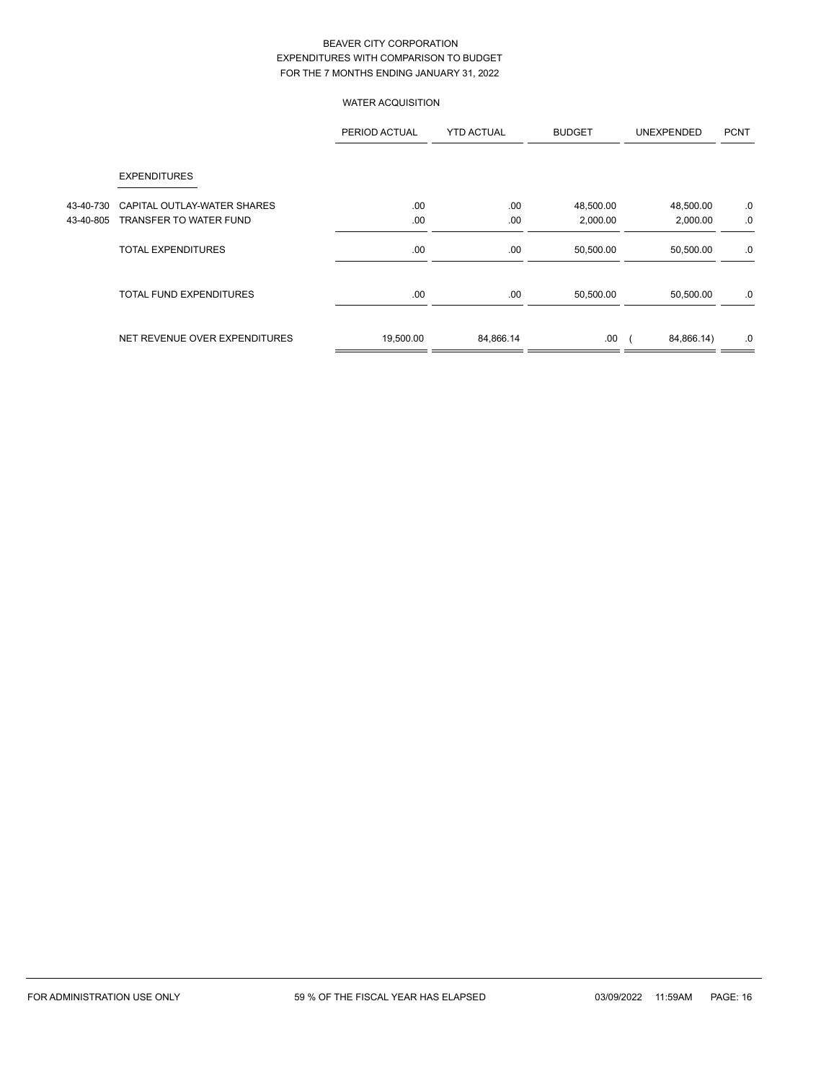### WATER ACQUISITION

|           |                                | PERIOD ACTUAL | <b>YTD ACTUAL</b> | <b>BUDGET</b> | <b>UNEXPENDED</b> | <b>PCNT</b> |
|-----------|--------------------------------|---------------|-------------------|---------------|-------------------|-------------|
|           | <b>EXPENDITURES</b>            |               |                   |               |                   |             |
| 43-40-730 | CAPITAL OUTLAY-WATER SHARES    | .00           | .00               | 48,500.00     | 48,500.00         | .0          |
| 43-40-805 | TRANSFER TO WATER FUND         | .00           | .00               | 2,000.00      | 2,000.00          | .0          |
|           | <b>TOTAL EXPENDITURES</b>      | .00           | .00               | 50,500.00     | 50,500.00         | .0          |
|           | <b>TOTAL FUND EXPENDITURES</b> | .00           | .00               | 50,500.00     | 50,500.00         | .0          |
|           | NET REVENUE OVER EXPENDITURES  | 19,500.00     | 84,866.14         | .00           | 84,866.14)        | .0          |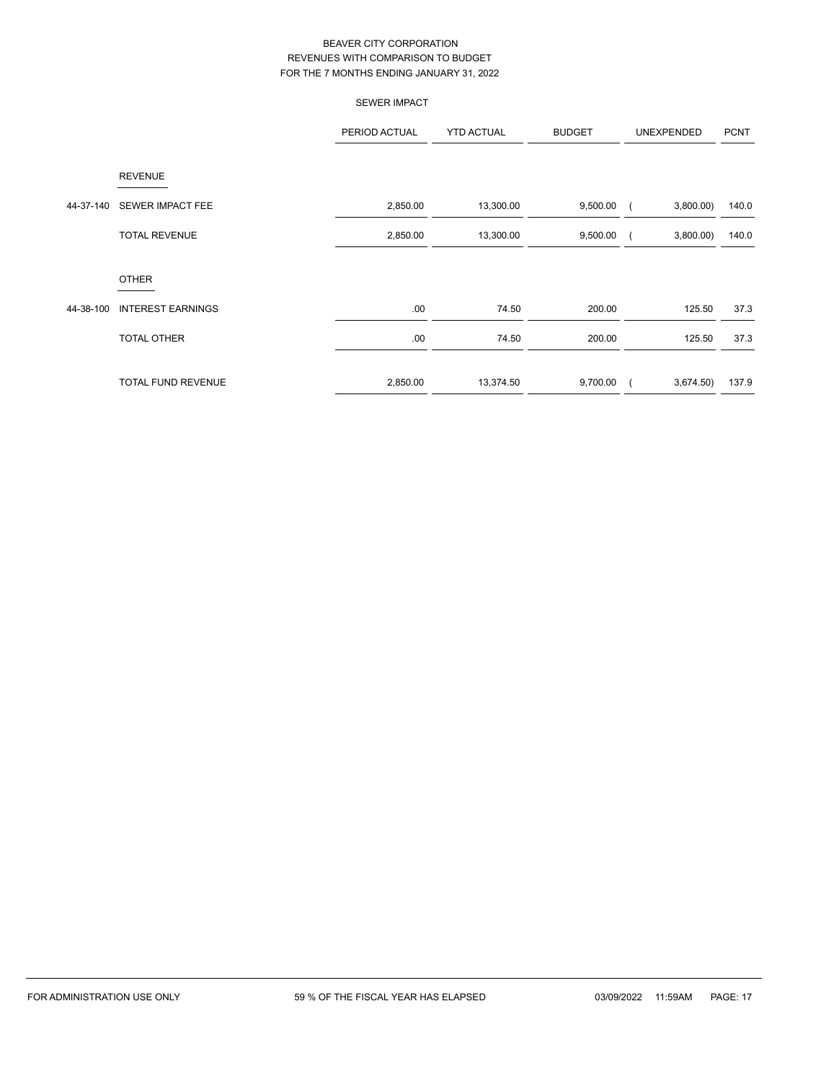|           |                          | <b>SEWER IMPACT</b> |                   |               |                       |             |
|-----------|--------------------------|---------------------|-------------------|---------------|-----------------------|-------------|
|           |                          | PERIOD ACTUAL       | <b>YTD ACTUAL</b> | <b>BUDGET</b> | UNEXPENDED            | <b>PCNT</b> |
|           | <b>REVENUE</b>           |                     |                   |               |                       |             |
| 44-37-140 | <b>SEWER IMPACT FEE</b>  | 2,850.00            | 13,300.00         | 9,500.00      | 3,800.00              | 140.0       |
|           | <b>TOTAL REVENUE</b>     | 2,850.00            | 13,300.00         | 9,500.00      | 3,800.00              | 140.0       |
|           | <b>OTHER</b>             |                     |                   |               |                       |             |
| 44-38-100 | <b>INTEREST EARNINGS</b> | .00                 | 74.50             | 200.00        | 125.50                | 37.3        |
|           | <b>TOTAL OTHER</b>       | .00                 | 74.50             | 200.00        | 125.50                | 37.3        |
|           | TOTAL FUND REVENUE       | 2,850.00            | 13,374.50         | 9,700.00      | 3,674.50)<br>$\left($ | 137.9       |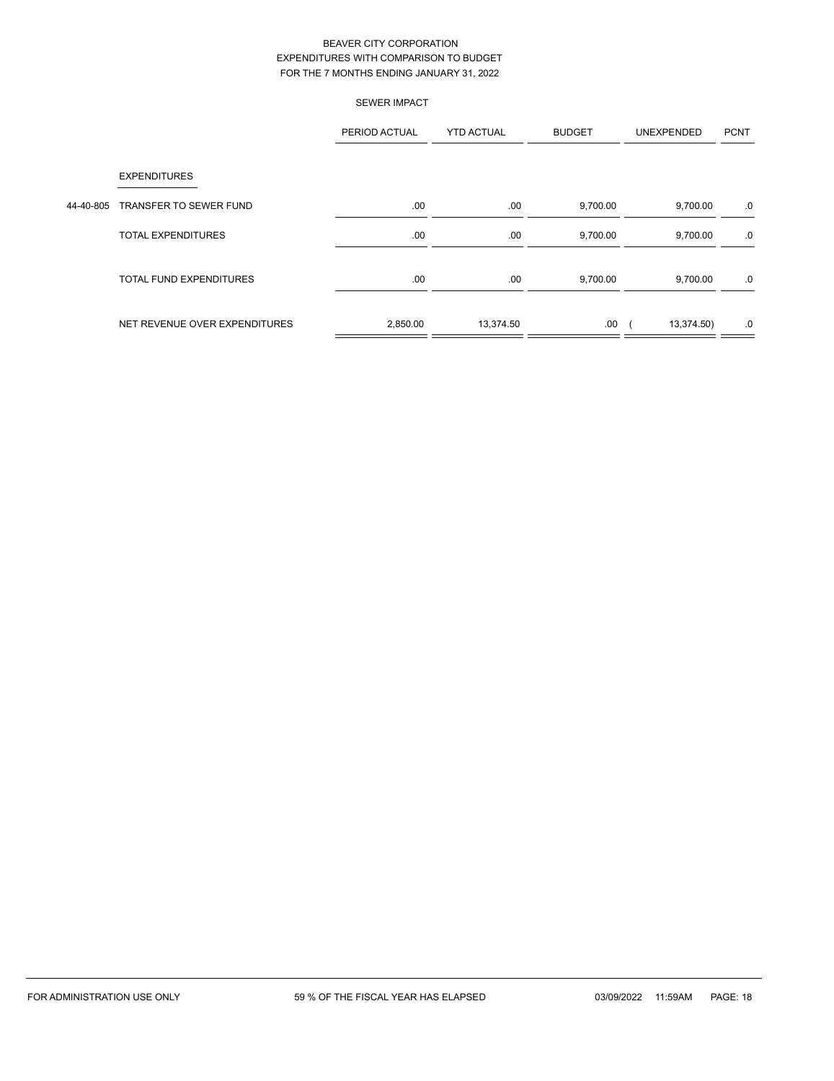|           |                                | <b>SEWER IMPACT</b> |                   |               |            |             |
|-----------|--------------------------------|---------------------|-------------------|---------------|------------|-------------|
|           |                                | PERIOD ACTUAL       | <b>YTD ACTUAL</b> | <b>BUDGET</b> | UNEXPENDED | <b>PCNT</b> |
|           | <b>EXPENDITURES</b>            |                     |                   |               |            |             |
| 44-40-805 | <b>TRANSFER TO SEWER FUND</b>  | .00.                | .00               | 9,700.00      | 9,700.00   | .0          |
|           | <b>TOTAL EXPENDITURES</b>      | .00.                | .00               | 9,700.00      | 9,700.00   | .0          |
|           | <b>TOTAL FUND EXPENDITURES</b> | .00.                | .00               | 9,700.00      | 9,700.00   | .0          |
|           | NET REVENUE OVER EXPENDITURES  | 2,850.00            | 13,374.50         | .00.          | 13,374.50) | .0          |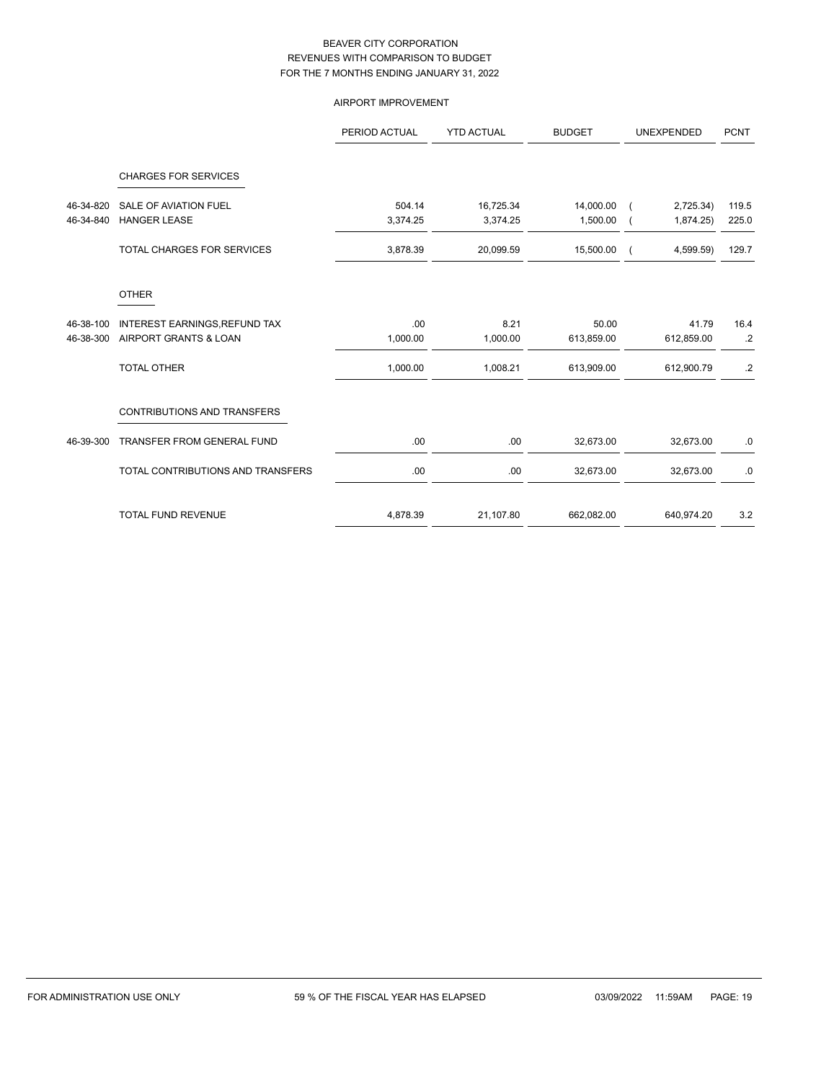### AIRPORT IMPROVEMENT

|           |                                    | PERIOD ACTUAL | <b>YTD ACTUAL</b> | <b>BUDGET</b> | <b>UNEXPENDED</b> | <b>PCNT</b>     |
|-----------|------------------------------------|---------------|-------------------|---------------|-------------------|-----------------|
|           | <b>CHARGES FOR SERVICES</b>        |               |                   |               |                   |                 |
| 46-34-820 | <b>SALE OF AVIATION FUEL</b>       | 504.14        | 16,725.34         | 14,000.00     | 2,725.34)         | 119.5           |
| 46-34-840 | <b>HANGER LEASE</b>                | 3,374.25      | 3,374.25          | 1,500.00      | 1,874.25          | 225.0           |
|           | <b>TOTAL CHARGES FOR SERVICES</b>  | 3,878.39      | 20,099.59         | 15,500.00     | 4,599.59)         | 129.7           |
|           | <b>OTHER</b>                       |               |                   |               |                   |                 |
| 46-38-100 | INTEREST EARNINGS, REFUND TAX      | .00           | 8.21              | 50.00         | 41.79             | 16.4            |
| 46-38-300 | AIRPORT GRANTS & LOAN              | 1,000.00      | 1,000.00          | 613,859.00    | 612,859.00        | $.2\phantom{0}$ |
|           | <b>TOTAL OTHER</b>                 | 1,000.00      | 1,008.21          | 613,909.00    | 612,900.79        | $.2\phantom{0}$ |
|           | <b>CONTRIBUTIONS AND TRANSFERS</b> |               |                   |               |                   |                 |
| 46-39-300 | <b>TRANSFER FROM GENERAL FUND</b>  | .00           | .00               | 32,673.00     | 32,673.00         | .0              |
|           | TOTAL CONTRIBUTIONS AND TRANSFERS  | .00           | .00               | 32,673.00     | 32,673.00         | .0              |
|           | <b>TOTAL FUND REVENUE</b>          | 4,878.39      | 21,107.80         | 662,082.00    | 640,974.20        | 3.2             |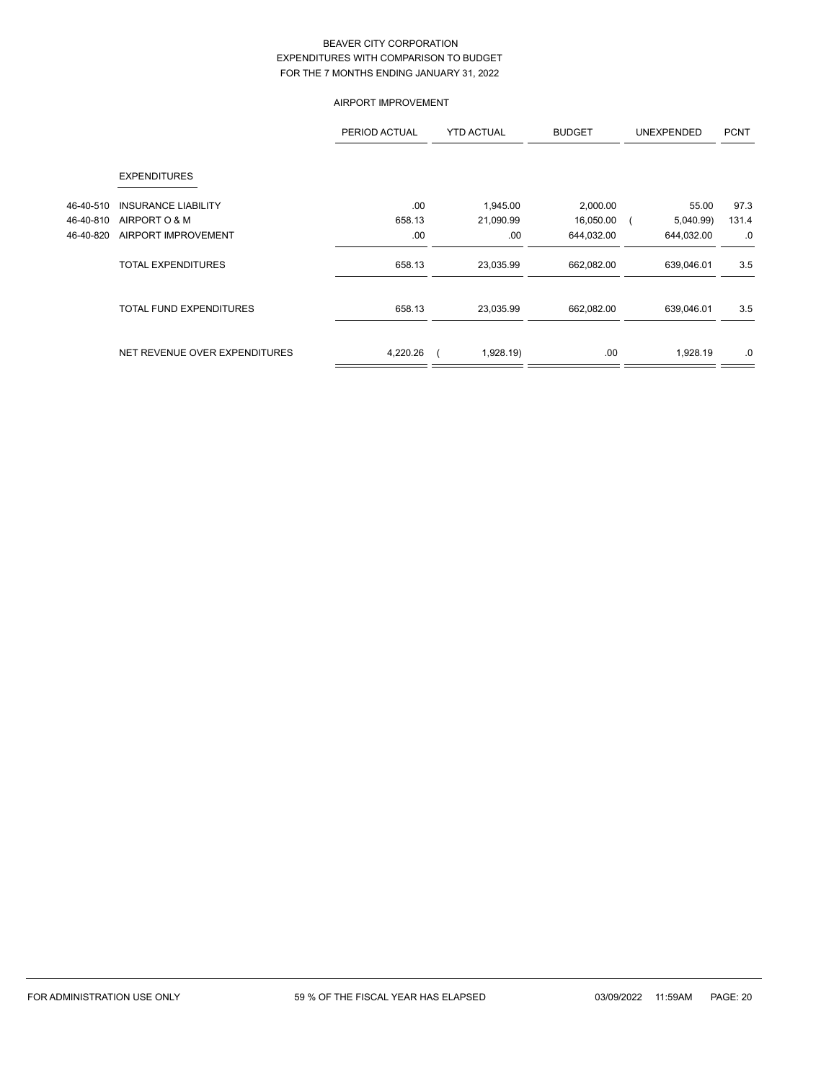### AIRPORT IMPROVEMENT

|           |                                | PERIOD ACTUAL | <b>YTD ACTUAL</b> | <b>BUDGET</b> | <b>UNEXPENDED</b> | <b>PCNT</b> |
|-----------|--------------------------------|---------------|-------------------|---------------|-------------------|-------------|
|           | <b>EXPENDITURES</b>            |               |                   |               |                   |             |
| 46-40-510 | <b>INSURANCE LIABILITY</b>     | .00           | 1,945.00          | 2,000.00      | 55.00             | 97.3        |
| 46-40-810 | AIRPORT O & M                  | 658.13        | 21,090.99         | 16,050.00     | 5,040.99)         | 131.4       |
| 46-40-820 | AIRPORT IMPROVEMENT            | .00           | .00               | 644,032.00    | 644,032.00        | .0          |
|           | <b>TOTAL EXPENDITURES</b>      | 658.13        | 23,035.99         | 662,082.00    | 639,046.01        | 3.5         |
|           | <b>TOTAL FUND EXPENDITURES</b> | 658.13        | 23,035.99         | 662,082.00    | 639,046.01        | 3.5         |
|           | NET REVENUE OVER EXPENDITURES  | 4,220.26      | 1,928.19)         | .00           | 1,928.19          | .0          |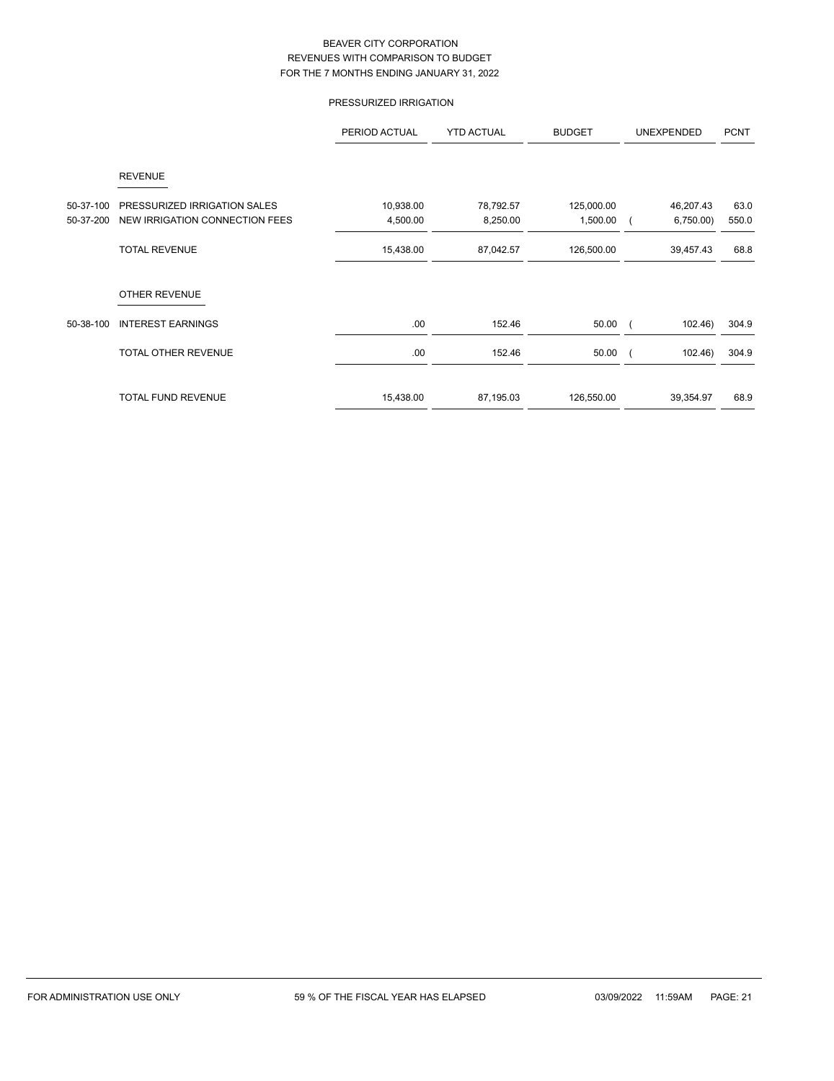# PRESSURIZED IRRIGATION

|           |                                | PERIOD ACTUAL | <b>YTD ACTUAL</b> | <b>BUDGET</b> | UNEXPENDED | <b>PCNT</b> |
|-----------|--------------------------------|---------------|-------------------|---------------|------------|-------------|
|           | <b>REVENUE</b>                 |               |                   |               |            |             |
| 50-37-100 | PRESSURIZED IRRIGATION SALES   | 10,938.00     | 78,792.57         | 125,000.00    | 46,207.43  | 63.0        |
| 50-37-200 | NEW IRRIGATION CONNECTION FEES | 4,500.00      | 8,250.00          | 1,500.00      | 6,750.00   | 550.0       |
|           | <b>TOTAL REVENUE</b>           | 15,438.00     | 87,042.57         | 126,500.00    | 39,457.43  | 68.8        |
|           | <b>OTHER REVENUE</b>           |               |                   |               |            |             |
| 50-38-100 | <b>INTEREST EARNINGS</b>       | .00           | 152.46            | 50.00         | 102.46     | 304.9       |
|           | <b>TOTAL OTHER REVENUE</b>     | .00           | 152.46            | 50.00         | 102.46     | 304.9       |
|           | <b>TOTAL FUND REVENUE</b>      | 15,438.00     | 87,195.03         | 126,550.00    | 39,354.97  | 68.9        |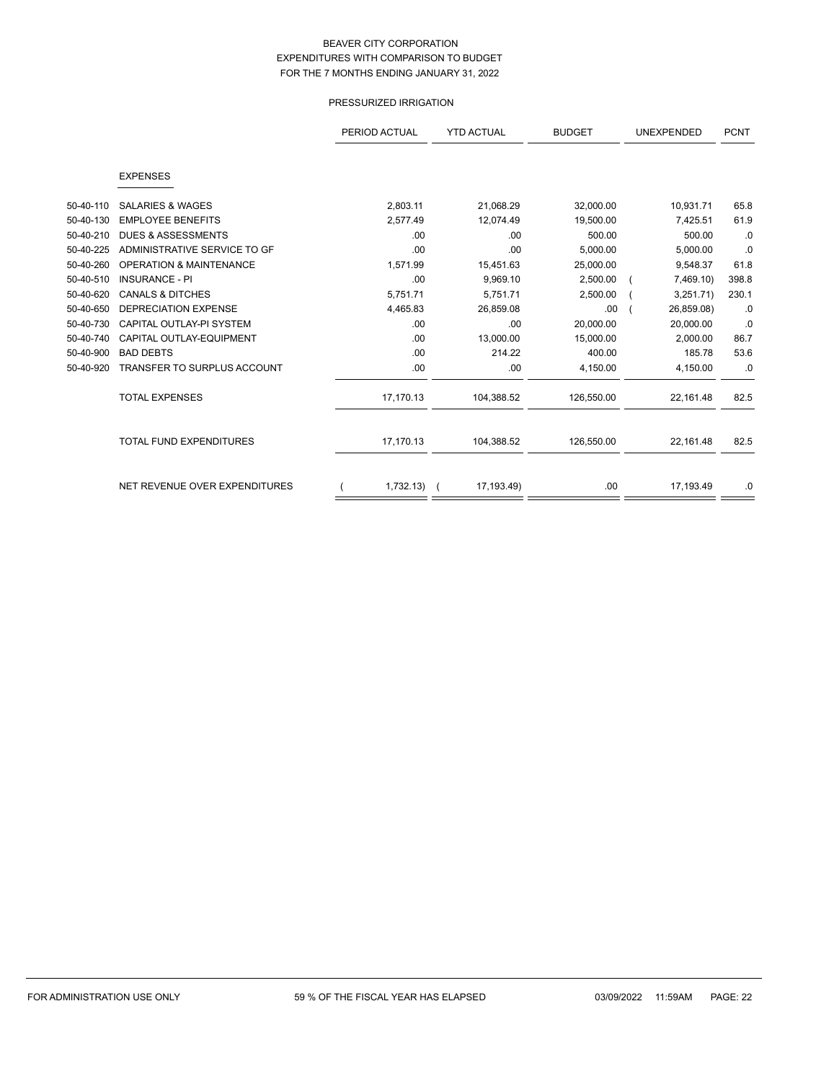### PRESSURIZED IRRIGATION

|           |                                    | PERIOD ACTUAL | <b>YTD ACTUAL</b> | <b>BUDGET</b> | <b>UNEXPENDED</b> | <b>PCNT</b> |
|-----------|------------------------------------|---------------|-------------------|---------------|-------------------|-------------|
|           |                                    |               |                   |               |                   |             |
|           | <b>EXPENSES</b>                    |               |                   |               |                   |             |
| 50-40-110 | <b>SALARIES &amp; WAGES</b>        | 2,803.11      | 21,068.29         | 32,000.00     | 10,931.71         | 65.8        |
| 50-40-130 | <b>EMPLOYEE BENEFITS</b>           | 2,577.49      | 12,074.49         | 19,500.00     | 7,425.51          | 61.9        |
| 50-40-210 | <b>DUES &amp; ASSESSMENTS</b>      |               |                   | 500.00        | 500.00            |             |
|           |                                    | .00           | .00               |               |                   | .0          |
| 50-40-225 | ADMINISTRATIVE SERVICE TO GF       | .00           | .00               | 5,000.00      | 5,000.00          | .0          |
| 50-40-260 | <b>OPERATION &amp; MAINTENANCE</b> | 1,571.99      | 15,451.63         | 25,000.00     | 9,548.37          | 61.8        |
| 50-40-510 | <b>INSURANCE - PI</b>              | .00           | 9,969.10          | 2,500.00      | 7,469.10)         | 398.8       |
| 50-40-620 | <b>CANALS &amp; DITCHES</b>        | 5,751.71      | 5,751.71          | 2,500.00      | 3,251.71)         | 230.1       |
| 50-40-650 | <b>DEPRECIATION EXPENSE</b>        | 4,465.83      | 26,859.08         | .00           | 26,859.08)        | .0          |
| 50-40-730 | CAPITAL OUTLAY-PI SYSTEM           | .00           | .00               | 20.000.00     | 20,000.00         | .0          |
| 50-40-740 | CAPITAL OUTLAY-EQUIPMENT           | .00           | 13,000.00         | 15,000.00     | 2,000.00          | 86.7        |
| 50-40-900 | <b>BAD DEBTS</b>                   | .00           | 214.22            | 400.00        | 185.78            | 53.6        |
| 50-40-920 | <b>TRANSFER TO SURPLUS ACCOUNT</b> | .00           | .00               | 4,150.00      | 4,150.00          | .0          |
|           | <b>TOTAL EXPENSES</b>              | 17,170.13     | 104,388.52        | 126,550.00    | 22,161.48         | 82.5        |
|           | <b>TOTAL FUND EXPENDITURES</b>     | 17,170.13     | 104,388.52        | 126,550.00    | 22,161.48         | 82.5        |
|           | NET REVENUE OVER EXPENDITURES      | $1,732.13)$ ( | 17,193.49)        | .00           | 17,193.49         | .0          |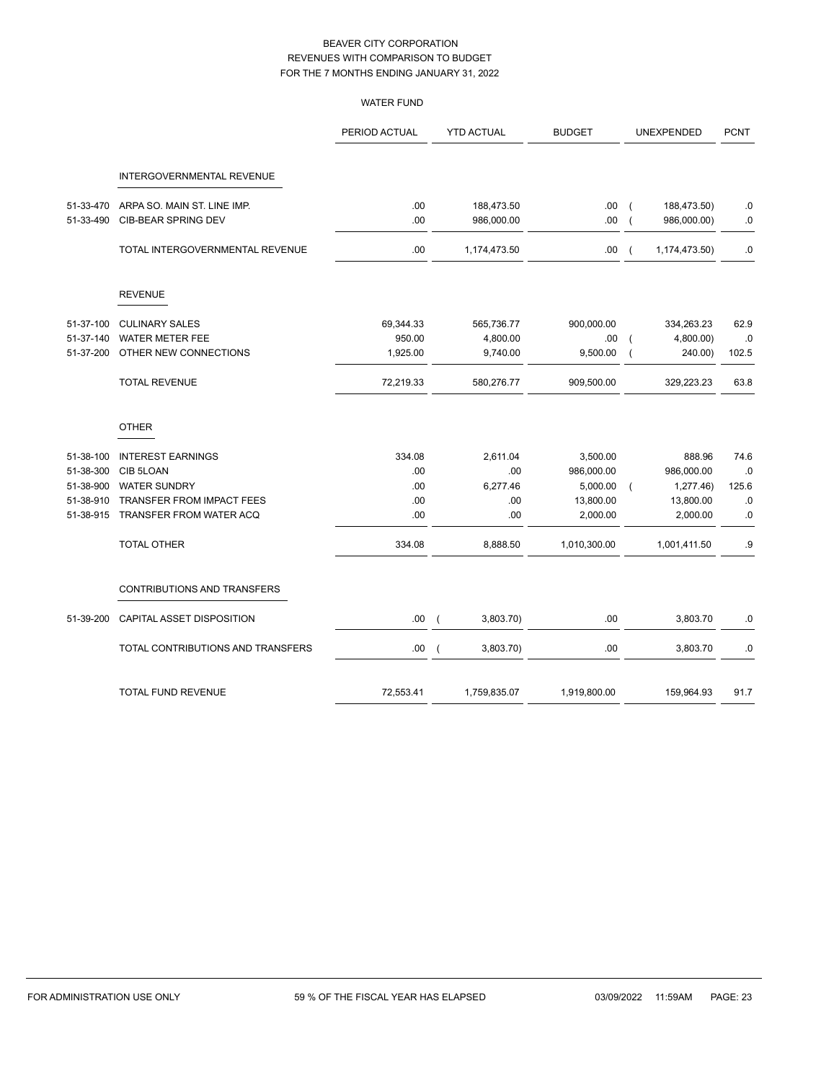|           |                                   | <b>WATER FUND</b> |                |                   |               |                |               |             |
|-----------|-----------------------------------|-------------------|----------------|-------------------|---------------|----------------|---------------|-------------|
|           |                                   | PERIOD ACTUAL     |                | <b>YTD ACTUAL</b> | <b>BUDGET</b> |                | UNEXPENDED    | <b>PCNT</b> |
|           | INTERGOVERNMENTAL REVENUE         |                   |                |                   |               |                |               |             |
| 51-33-470 | ARPA SO. MAIN ST. LINE IMP.       | .00               |                | 188,473.50        | .00           | $\overline{ }$ | 188,473.50)   | .0          |
| 51-33-490 | CIB-BEAR SPRING DEV               | .00               |                | 986,000.00        | .00           |                | 986,000.00)   | $\cdot$ 0   |
|           | TOTAL INTERGOVERNMENTAL REVENUE   | .00               |                | 1,174,473.50      | .00.          | $\overline{ }$ | 1,174,473.50) | 0.          |
|           | <b>REVENUE</b>                    |                   |                |                   |               |                |               |             |
| 51-37-100 | <b>CULINARY SALES</b>             | 69,344.33         |                | 565,736.77        | 900,000.00    |                | 334,263.23    | 62.9        |
| 51-37-140 | <b>WATER METER FEE</b>            | 950.00            |                | 4,800.00          | .00.          |                | 4,800.00)     | $.0\,$      |
| 51-37-200 | OTHER NEW CONNECTIONS             | 1,925.00          |                | 9,740.00          | 9,500.00      |                | 240.00)       | 102.5       |
|           | <b>TOTAL REVENUE</b>              | 72,219.33         |                | 580,276.77        | 909,500.00    |                | 329,223.23    | 63.8        |
|           | <b>OTHER</b>                      |                   |                |                   |               |                |               |             |
| 51-38-100 | <b>INTEREST EARNINGS</b>          | 334.08            |                | 2,611.04          | 3,500.00      |                | 888.96        | 74.6        |
| 51-38-300 | CIB 5LOAN                         | .00               |                | .00               | 986,000.00    |                | 986,000.00    | $.0\,$      |
| 51-38-900 | <b>WATER SUNDRY</b>               | .00               |                | 6,277.46          | 5,000.00      |                | 1,277.46)     | 125.6       |
| 51-38-910 | TRANSFER FROM IMPACT FEES         | .00               |                | .00               | 13,800.00     |                | 13,800.00     | $\cdot$ 0   |
| 51-38-915 | TRANSFER FROM WATER ACQ           | .00               |                | .00               | 2,000.00      |                | 2,000.00      | $\cdot$ 0   |
|           | <b>TOTAL OTHER</b>                | 334.08            |                | 8,888.50          | 1,010,300.00  |                | 1,001,411.50  | .9          |
|           | CONTRIBUTIONS AND TRANSFERS       |                   |                |                   |               |                |               |             |
| 51-39-200 | CAPITAL ASSET DISPOSITION         | .00.              | $\overline{ }$ | 3,803.70)         | .00           |                | 3,803.70      | .0          |
|           | TOTAL CONTRIBUTIONS AND TRANSFERS | .00               | $\overline{ }$ | 3,803.70)         | .00           |                | 3,803.70      | 0.          |
|           | TOTAL FUND REVENUE                | 72,553.41         |                | 1,759,835.07      | 1,919,800.00  |                | 159,964.93    | 91.7        |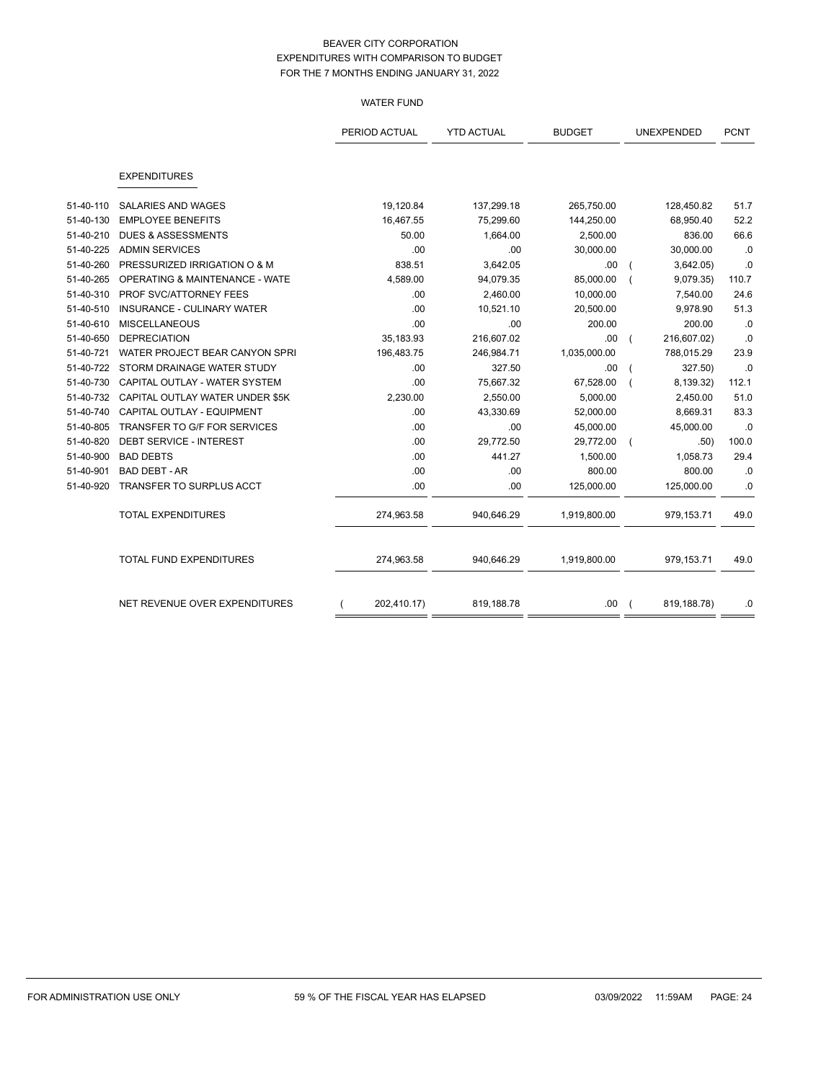# WATER FUND

|           |                                           | PERIOD ACTUAL | <b>YTD ACTUAL</b> | <b>BUDGET</b> | UNEXPENDED  | <b>PCNT</b> |
|-----------|-------------------------------------------|---------------|-------------------|---------------|-------------|-------------|
|           |                                           |               |                   |               |             |             |
|           | <b>EXPENDITURES</b>                       |               |                   |               |             |             |
| 51-40-110 | <b>SALARIES AND WAGES</b>                 | 19,120.84     | 137,299.18        | 265,750.00    | 128,450.82  | 51.7        |
| 51-40-130 | <b>EMPLOYEE BENEFITS</b>                  | 16,467.55     | 75,299.60         | 144,250.00    | 68,950.40   | 52.2        |
| 51-40-210 | <b>DUES &amp; ASSESSMENTS</b>             | 50.00         | 1,664.00          | 2,500.00      | 836.00      | 66.6        |
| 51-40-225 | <b>ADMIN SERVICES</b>                     | .00           | .00               | 30,000.00     | 30,000.00   | .0          |
| 51-40-260 | PRESSURIZED IRRIGATION O & M              | 838.51        | 3,642.05          | .00           | 3,642.05)   | .0          |
| 51-40-265 | <b>OPERATING &amp; MAINTENANCE - WATE</b> | 4,589.00      | 94,079.35         | 85,000.00     | 9,079.35    | 110.7       |
| 51-40-310 | PROF SVC/ATTORNEY FEES                    | .00           | 2,460.00          | 10,000.00     | 7,540.00    | 24.6        |
| 51-40-510 | INSURANCE - CULINARY WATER                | .00           | 10,521.10         | 20,500.00     | 9,978.90    | 51.3        |
| 51-40-610 | <b>MISCELLANEOUS</b>                      | .00           | .00               | 200.00        | 200.00      | .0          |
| 51-40-650 | <b>DEPRECIATION</b>                       | 35,183.93     | 216,607.02        | .00           | 216,607.02) | .0          |
| 51-40-721 | WATER PROJECT BEAR CANYON SPRI            | 196,483.75    | 246,984.71        | 1,035,000.00  | 788,015.29  | 23.9        |
| 51-40-722 | STORM DRAINAGE WATER STUDY                | .00           | 327.50            | .00           | 327.50)     | .0          |
| 51-40-730 | CAPITAL OUTLAY - WATER SYSTEM             | .00           | 75,667.32         | 67,528.00     | 8,139.32)   | 112.1       |
| 51-40-732 | CAPITAL OUTLAY WATER UNDER \$5K           | 2,230.00      | 2,550.00          | 5,000.00      | 2,450.00    | 51.0        |
| 51-40-740 | CAPITAL OUTLAY - EQUIPMENT                | .00           | 43,330.69         | 52,000.00     | 8,669.31    | 83.3        |
| 51-40-805 | TRANSFER TO G/F FOR SERVICES              | .00           | .00               | 45,000.00     | 45,000.00   | .0          |
| 51-40-820 | DEBT SERVICE - INTEREST                   | .00           | 29,772.50         | 29,772.00     | .50)        | 100.0       |
| 51-40-900 | <b>BAD DEBTS</b>                          | .00           | 441.27            | 1,500.00      | 1,058.73    | 29.4        |
| 51-40-901 | <b>BAD DEBT - AR</b>                      | .00           | .00               | 800.00        | 800.00      | .0          |
| 51-40-920 | TRANSFER TO SURPLUS ACCT                  | .00           | .00               | 125,000.00    | 125,000.00  | .0          |
|           | <b>TOTAL EXPENDITURES</b>                 | 274,963.58    | 940,646.29        | 1,919,800.00  | 979,153.71  | 49.0        |
|           | TOTAL FUND EXPENDITURES                   | 274,963.58    | 940,646.29        | 1,919,800.00  | 979,153.71  | 49.0        |
|           | NET REVENUE OVER EXPENDITURES             | 202,410.17)   | 819,188.78        | .00.          | 819,188.78) | .0          |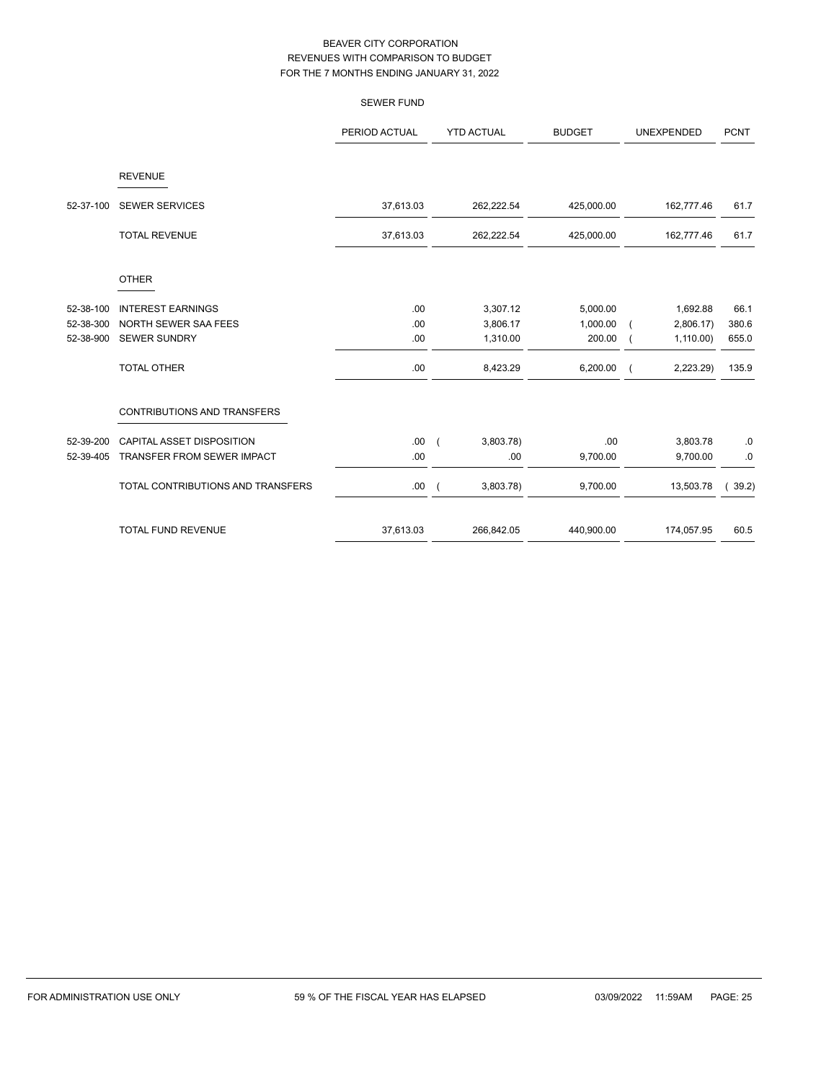|           |                                   | <b>SEWER FUND</b> |                       |               |                   |                   |
|-----------|-----------------------------------|-------------------|-----------------------|---------------|-------------------|-------------------|
|           |                                   | PERIOD ACTUAL     | <b>YTD ACTUAL</b>     | <b>BUDGET</b> | <b>UNEXPENDED</b> | <b>PCNT</b>       |
|           | <b>REVENUE</b>                    |                   |                       |               |                   |                   |
| 52-37-100 | <b>SEWER SERVICES</b>             | 37,613.03         | 262,222.54            | 425,000.00    | 162,777.46        | 61.7              |
|           | <b>TOTAL REVENUE</b>              | 37,613.03         | 262,222.54            | 425,000.00    | 162,777.46        | 61.7              |
|           | <b>OTHER</b>                      |                   |                       |               |                   |                   |
| 52-38-100 | <b>INTEREST EARNINGS</b>          | .00               | 3,307.12              | 5,000.00      | 1,692.88          | 66.1              |
| 52-38-300 | NORTH SEWER SAA FEES              | .00               | 3,806.17              | 1,000.00      | 2,806.17          | 380.6             |
| 52-38-900 | <b>SEWER SUNDRY</b>               | .00               | 1,310.00              | 200.00        | 1,110.00          | 655.0             |
|           | <b>TOTAL OTHER</b>                | .00               | 8,423.29              | 6,200.00      | 2,223.29)         | 135.9             |
|           | CONTRIBUTIONS AND TRANSFERS       |                   |                       |               |                   |                   |
| 52-39-200 | CAPITAL ASSET DISPOSITION         | .00.              | 3,803.78)<br>$\left($ | .00           | 3,803.78          | $.0\,$            |
| 52-39-405 | TRANSFER FROM SEWER IMPACT        | .00               | .00                   | 9,700.00      | 9,700.00          | .0                |
|           | TOTAL CONTRIBUTIONS AND TRANSFERS | .00.              | 3,803.78)             | 9,700.00      | 13,503.78         | 39.2)<br>$\left($ |
|           | <b>TOTAL FUND REVENUE</b>         | 37,613.03         | 266,842.05            | 440,900.00    | 174,057.95        | 60.5              |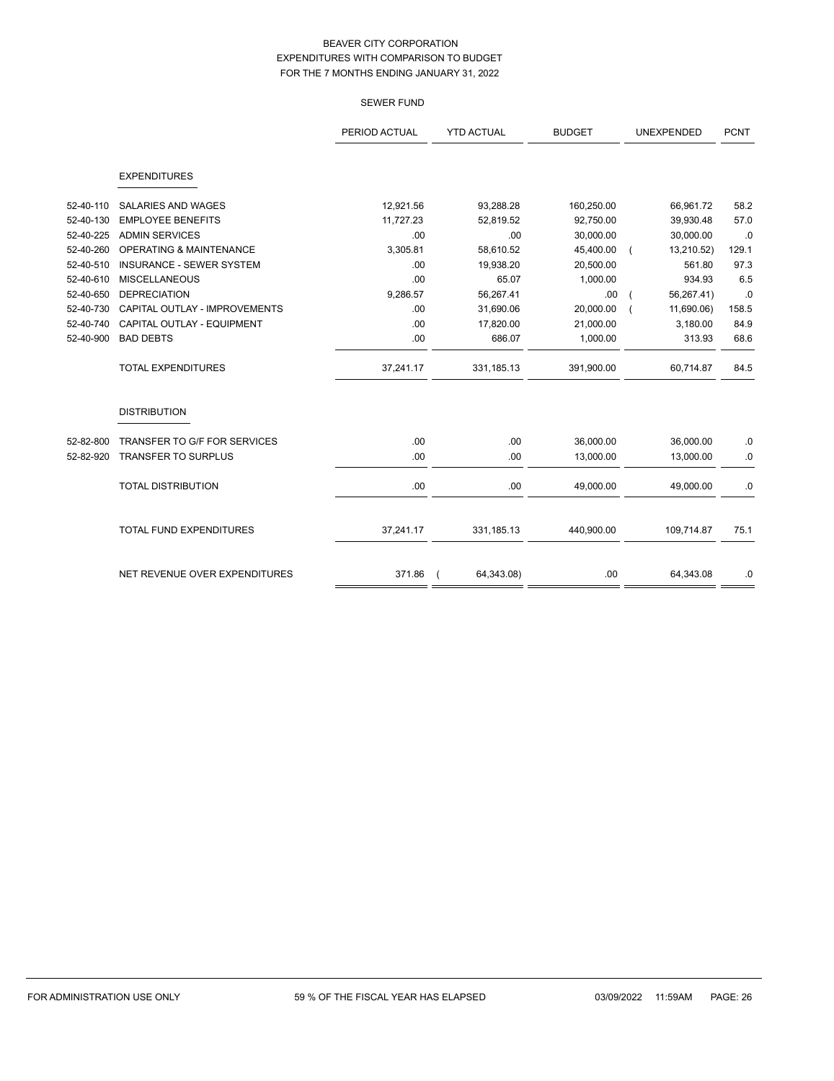|           |                                    | PERIOD ACTUAL | <b>YTD ACTUAL</b> | <b>BUDGET</b> | <b>UNEXPENDED</b> | <b>PCNT</b> |
|-----------|------------------------------------|---------------|-------------------|---------------|-------------------|-------------|
|           | <b>EXPENDITURES</b>                |               |                   |               |                   |             |
| 52-40-110 | <b>SALARIES AND WAGES</b>          | 12,921.56     | 93,288.28         | 160,250.00    | 66,961.72         | 58.2        |
| 52-40-130 | <b>EMPLOYEE BENEFITS</b>           | 11,727.23     | 52,819.52         | 92,750.00     | 39,930.48         | 57.0        |
| 52-40-225 | <b>ADMIN SERVICES</b>              | .00           | .00               | 30,000.00     | 30,000.00         | .0          |
| 52-40-260 | <b>OPERATING &amp; MAINTENANCE</b> | 3,305.81      | 58,610.52         | 45,400.00     | 13,210.52)        | 129.1       |
| 52-40-510 | <b>INSURANCE - SEWER SYSTEM</b>    | .00           | 19,938.20         | 20,500.00     | 561.80            | 97.3        |
| 52-40-610 | <b>MISCELLANEOUS</b>               | .00           | 65.07             | 1,000.00      | 934.93            | 6.5         |
| 52-40-650 | <b>DEPRECIATION</b>                | 9,286.57      | 56,267.41         | .00.          | 56,267.41)        | .0          |
| 52-40-730 | CAPITAL OUTLAY - IMPROVEMENTS      | .00.          | 31,690.06         | 20,000.00     | 11,690.06)        | 158.5       |
| 52-40-740 | CAPITAL OUTLAY - EQUIPMENT         | .00           | 17,820.00         | 21,000.00     | 3,180.00          | 84.9        |
| 52-40-900 | <b>BAD DEBTS</b>                   | .00           | 686.07            | 1,000.00      | 313.93            | 68.6        |
|           | <b>TOTAL EXPENDITURES</b>          | 37,241.17     | 331,185.13        | 391,900.00    | 60,714.87         | 84.5        |
|           | <b>DISTRIBUTION</b>                |               |                   |               |                   |             |
| 52-82-800 | TRANSFER TO G/F FOR SERVICES       | .00.          | .00               | 36,000.00     | 36,000.00         | $.0\,$      |
| 52-82-920 | <b>TRANSFER TO SURPLUS</b>         | .00           | .00               | 13,000.00     | 13,000.00         | $.0\,$      |
|           | <b>TOTAL DISTRIBUTION</b>          | .00.          | .00               | 49,000.00     | 49,000.00         | .0          |
|           | <b>TOTAL FUND EXPENDITURES</b>     | 37,241.17     | 331,185.13        | 440,900.00    | 109,714.87        | 75.1        |
|           |                                    |               |                   |               |                   |             |
|           | NET REVENUE OVER EXPENDITURES      | 371.86        | 64,343.08)        | .00           | 64,343.08         | $.0\,$      |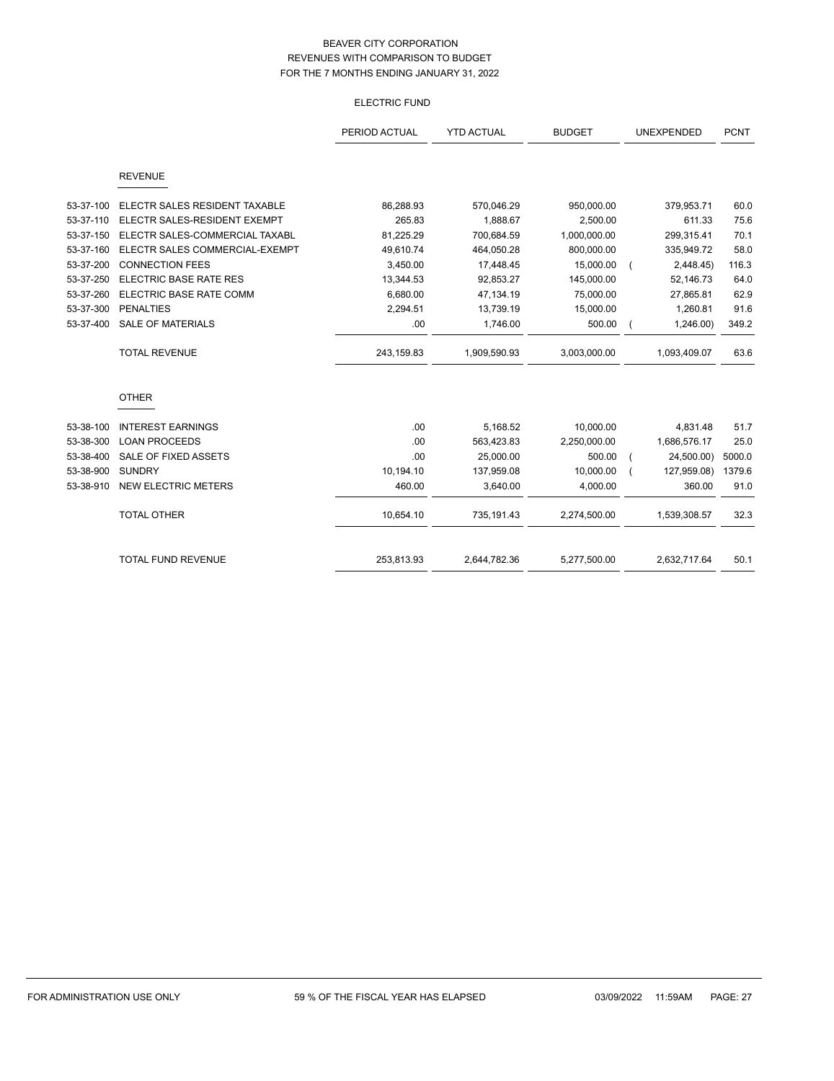# ELECTRIC FUND

|           |                                | PERIOD ACTUAL | <b>YTD ACTUAL</b> | <b>BUDGET</b> | UNEXPENDED |              | <b>PCNT</b> |
|-----------|--------------------------------|---------------|-------------------|---------------|------------|--------------|-------------|
|           | <b>REVENUE</b>                 |               |                   |               |            |              |             |
| 53-37-100 | ELECTR SALES RESIDENT TAXABLE  | 86,288.93     | 570,046.29        | 950,000.00    |            | 379,953.71   | 60.0        |
| 53-37-110 | ELECTR SALES-RESIDENT EXEMPT   | 265.83        | 1,888.67          | 2,500.00      |            | 611.33       | 75.6        |
| 53-37-150 | ELECTR SALES-COMMERCIAL TAXABL | 81,225.29     | 700,684.59        | 1,000,000.00  |            | 299,315.41   | 70.1        |
| 53-37-160 | ELECTR SALES COMMERCIAL-EXEMPT | 49,610.74     | 464,050.28        | 800,000.00    |            | 335,949.72   | 58.0        |
| 53-37-200 | <b>CONNECTION FEES</b>         | 3,450.00      | 17,448.45         | 15,000.00     |            | 2,448.45)    | 116.3       |
| 53-37-250 | <b>ELECTRIC BASE RATE RES</b>  | 13,344.53     | 92,853.27         | 145,000.00    |            | 52,146.73    | 64.0        |
| 53-37-260 | ELECTRIC BASE RATE COMM        | 6,680.00      | 47,134.19         | 75,000.00     |            | 27,865.81    | 62.9        |
| 53-37-300 | <b>PENALTIES</b>               | 2,294.51      | 13,739.19         | 15,000.00     |            | 1,260.81     | 91.6        |
| 53-37-400 | <b>SALE OF MATERIALS</b>       | .00           | 1,746.00          | 500.00        |            | 1,246.00     | 349.2       |
|           | <b>TOTAL REVENUE</b>           | 243,159.83    | 1,909,590.93      | 3,003,000.00  |            | 1,093,409.07 | 63.6        |
|           | <b>OTHER</b>                   |               |                   |               |            |              |             |
| 53-38-100 | <b>INTEREST EARNINGS</b>       | .00           | 5,168.52          | 10,000.00     |            | 4,831.48     | 51.7        |
| 53-38-300 | <b>LOAN PROCEEDS</b>           | .00           | 563,423.83        | 2,250,000.00  |            | 1,686,576.17 | 25.0        |
| 53-38-400 | <b>SALE OF FIXED ASSETS</b>    | .00           | 25,000.00         | 500.00        |            | 24,500.00)   | 5000.0      |
| 53-38-900 | <b>SUNDRY</b>                  | 10,194.10     | 137,959.08        | 10,000.00     |            | 127,959.08)  | 1379.6      |
| 53-38-910 | <b>NEW ELECTRIC METERS</b>     | 460.00        | 3,640.00          | 4,000.00      |            | 360.00       | 91.0        |
|           | <b>TOTAL OTHER</b>             | 10,654.10     | 735,191.43        | 2,274,500.00  |            | 1,539,308.57 | 32.3        |
|           | <b>TOTAL FUND REVENUE</b>      | 253,813.93    | 2,644,782.36      | 5,277,500.00  |            | 2,632,717.64 | 50.1        |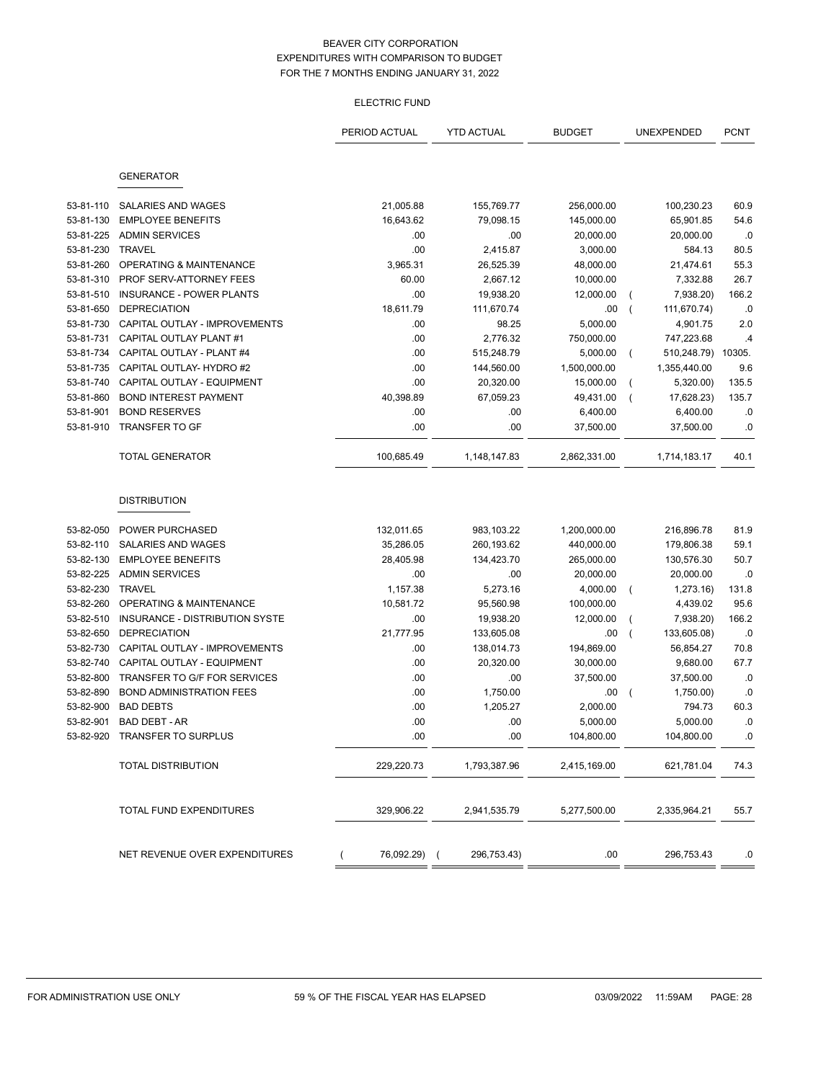### ELECTRIC FUND

|           |                                 | PERIOD ACTUAL | <b>YTD ACTUAL</b> | <b>BUDGET</b> | UNEXPENDED     |              | <b>PCNT</b> |
|-----------|---------------------------------|---------------|-------------------|---------------|----------------|--------------|-------------|
|           |                                 |               |                   |               |                |              |             |
|           | <b>GENERATOR</b>                |               |                   |               |                |              |             |
|           |                                 |               |                   |               |                |              |             |
| 53-81-110 | SALARIES AND WAGES              | 21,005.88     | 155,769.77        | 256,000.00    |                | 100,230.23   | 60.9        |
| 53-81-130 | <b>EMPLOYEE BENEFITS</b>        | 16,643.62     | 79,098.15         | 145,000.00    |                | 65,901.85    | 54.6        |
| 53-81-225 | <b>ADMIN SERVICES</b>           | .00           | .00               | 20,000.00     |                | 20,000.00    | .0          |
| 53-81-230 | <b>TRAVEL</b>                   | .00           | 2,415.87          | 3,000.00      |                | 584.13       | 80.5        |
| 53-81-260 | OPERATING & MAINTENANCE         | 3,965.31      | 26,525.39         | 48,000.00     |                | 21,474.61    | 55.3        |
| 53-81-310 | PROF SERV-ATTORNEY FEES         | 60.00         | 2,667.12          | 10,000.00     |                | 7,332.88     | 26.7        |
| 53-81-510 | <b>INSURANCE - POWER PLANTS</b> | .00           | 19,938.20         | 12,000.00     | $\overline{ }$ | 7,938.20)    | 166.2       |
| 53-81-650 | <b>DEPRECIATION</b>             | 18,611.79     | 111,670.74        | .00           | $\overline{ }$ | 111,670.74)  | .0          |
| 53-81-730 | CAPITAL OUTLAY - IMPROVEMENTS   | .00           | 98.25             | 5,000.00      |                | 4,901.75     | 2.0         |
| 53-81-731 | CAPITAL OUTLAY PLANT #1         | .00           | 2,776.32          | 750,000.00    |                | 747,223.68   | .4          |
| 53-81-734 | CAPITAL OUTLAY - PLANT #4       | .00           | 515,248.79        | 5,000.00      | $\left($       | 510,248.79)  | 10305.      |
| 53-81-735 | CAPITAL OUTLAY- HYDRO #2        | .00           | 144,560.00        | 1,500,000.00  |                | 1,355,440.00 | 9.6         |
| 53-81-740 | CAPITAL OUTLAY - EQUIPMENT      | .00           | 20,320.00         | 15,000.00     |                | 5,320.00)    | 135.5       |
| 53-81-860 | <b>BOND INTEREST PAYMENT</b>    | 40,398.89     | 67,059.23         | 49,431.00     | $\overline{ }$ | 17,628.23)   | 135.7       |
| 53-81-901 | <b>BOND RESERVES</b>            | .00           | .00               | 6,400.00      |                | 6,400.00     | .0          |
| 53-81-910 | <b>TRANSFER TO GF</b>           | .00           | .00               | 37,500.00     |                | 37,500.00    | .0          |
|           | <b>TOTAL GENERATOR</b>          | 100,685.49    | 1,148,147.83      | 2,862,331.00  |                | 1,714,183.17 | 40.1        |
|           |                                 |               |                   |               |                |              |             |
|           | <b>DISTRIBUTION</b>             |               |                   |               |                |              |             |
|           |                                 |               |                   |               |                |              |             |
| 53-82-050 | POWER PURCHASED                 | 132,011.65    | 983,103.22        | 1,200,000.00  |                | 216,896.78   | 81.9        |
| 53-82-110 | SALARIES AND WAGES              | 35,286.05     | 260,193.62        | 440,000.00    |                | 179,806.38   | 59.1        |
| 53-82-130 | <b>EMPLOYEE BENEFITS</b>        | 28,405.98     | 134,423.70        | 265,000.00    |                | 130,576.30   | 50.7        |
| 53-82-225 | <b>ADMIN SERVICES</b>           | .00           | .00               | 20,000.00     |                | 20,000.00    | .0          |
| 53-82-230 | <b>TRAVEL</b>                   | 1,157.38      | 5,273.16          | 4,000.00      | $\left($       | 1,273.16)    | 131.8       |
| 53-82-260 | OPERATING & MAINTENANCE         | 10,581.72     | 95,560.98         | 100,000.00    |                | 4,439.02     | 95.6        |
| 53-82-510 | INSURANCE - DISTRIBUTION SYSTE  | .00           | 19,938.20         | 12,000.00     | (              | 7,938.20)    | 166.2       |
| 53-82-650 | <b>DEPRECIATION</b>             | 21,777.95     | 133,605.08        | .00           | $\overline{ }$ | 133,605.08)  | .0          |
| 53-82-730 | CAPITAL OUTLAY - IMPROVEMENTS   | .00           | 138,014.73        | 194,869.00    |                | 56,854.27    | 70.8        |
| 53-82-740 | CAPITAL OUTLAY - EQUIPMENT      | .00           | 20,320.00         | 30,000.00     |                | 9,680.00     | 67.7        |
| 53-82-800 | TRANSFER TO G/F FOR SERVICES    | .00           | .00               | 37,500.00     |                | 37,500.00    | .0          |
| 53-82-890 | <b>BOND ADMINISTRATION FEES</b> | .00           | 1,750.00          | .00           |                | 1,750.00)    | .0          |
| 53-82-900 | <b>BAD DEBTS</b>                | .00           | 1,205.27          | 2,000.00      |                | 794.73       | 60.3        |
| 53-82-901 | BAD DEBT - AR                   | .00           | .00               | 5,000.00      |                | 5,000.00     | .0          |
|           | 53-82-920 TRANSFER TO SURPLUS   | .00           | .00               | 104,800.00    |                | 104,800.00   | .0          |
|           | <b>TOTAL DISTRIBUTION</b>       | 229,220.73    | 1,793,387.96      | 2,415,169.00  |                | 621,781.04   | 74.3        |
|           |                                 |               |                   |               |                |              |             |
|           | TOTAL FUND EXPENDITURES         | 329,906.22    | 2,941,535.79      | 5,277,500.00  |                | 2,335,964.21 | 55.7        |
|           |                                 |               |                   |               |                |              |             |
|           | NET REVENUE OVER EXPENDITURES   | 76,092.29) (  | 296,753.43)       | .00           |                | 296,753.43   | .0          |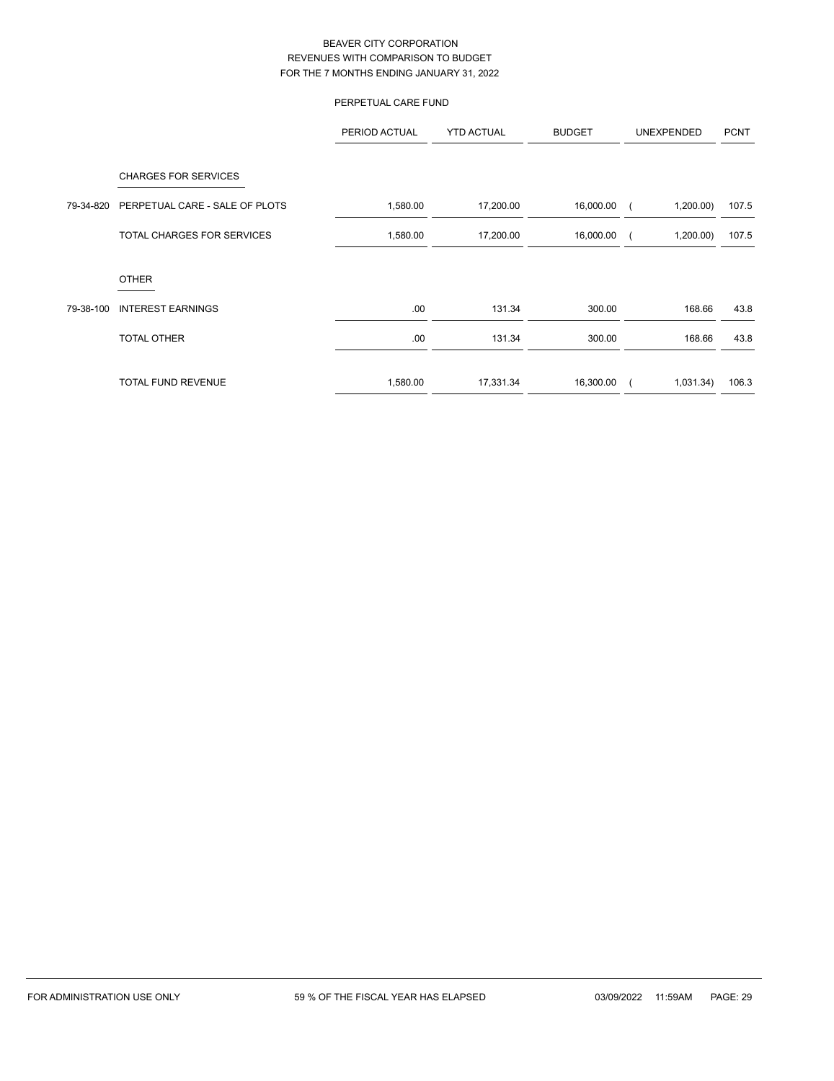# PERPETUAL CARE FUND

|           |                                | PERIOD ACTUAL | <b>YTD ACTUAL</b> | <b>BUDGET</b> | UNEXPENDED | <b>PCNT</b> |
|-----------|--------------------------------|---------------|-------------------|---------------|------------|-------------|
|           | <b>CHARGES FOR SERVICES</b>    |               |                   |               |            |             |
| 79-34-820 | PERPETUAL CARE - SALE OF PLOTS | 1,580.00      | 17,200.00         | 16,000.00     | 1,200.00   | 107.5       |
|           | TOTAL CHARGES FOR SERVICES     | 1,580.00      | 17,200.00         | 16,000.00     | 1,200.00   | 107.5       |
|           | <b>OTHER</b>                   |               |                   |               |            |             |
| 79-38-100 | <b>INTEREST EARNINGS</b>       | .00.          | 131.34            | 300.00        | 168.66     | 43.8        |
|           | <b>TOTAL OTHER</b>             | .00           | 131.34            | 300.00        | 168.66     | 43.8        |
|           | <b>TOTAL FUND REVENUE</b>      | 1,580.00      | 17,331.34         | 16,300.00     | 1,031.34)  | 106.3       |